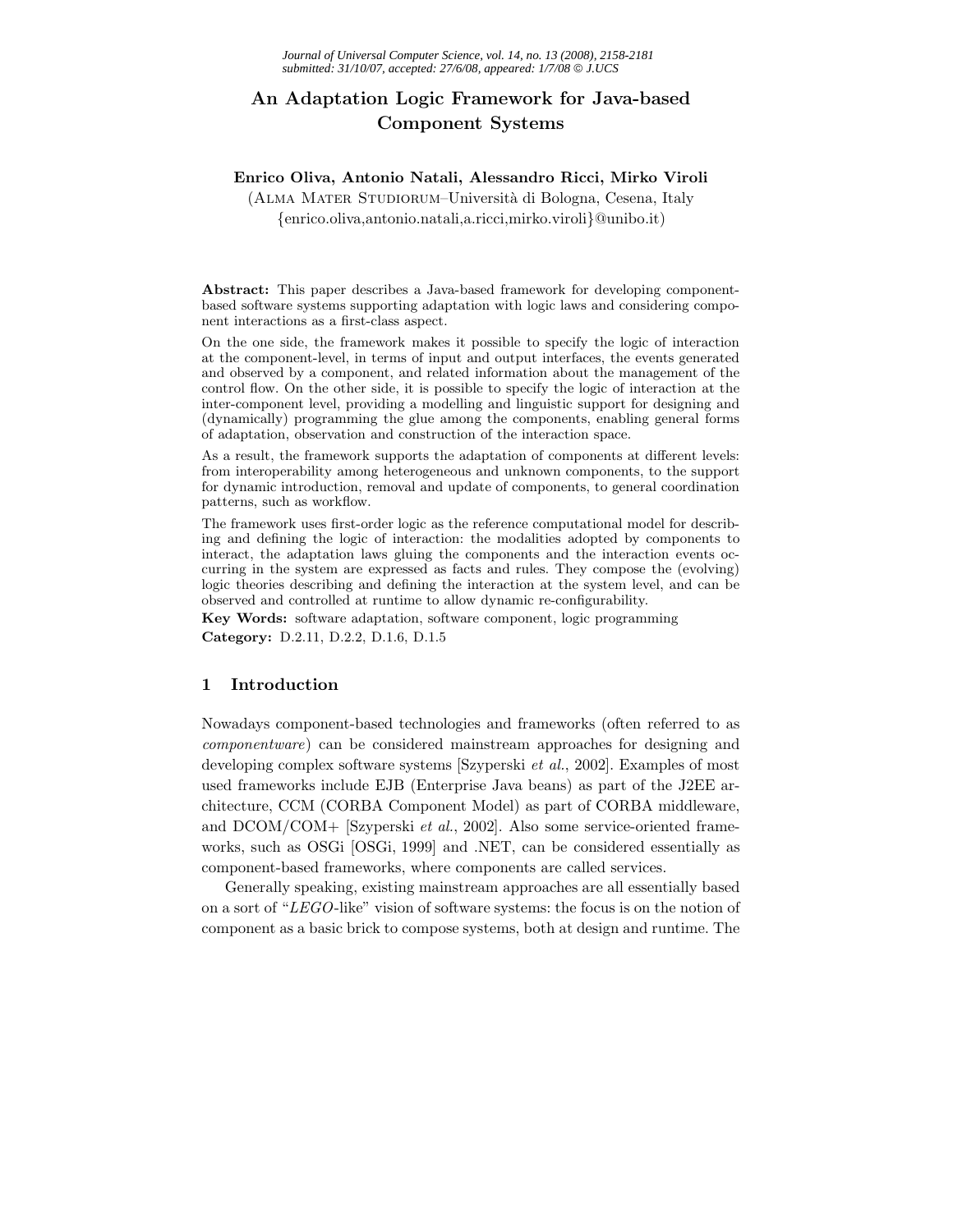# **An Adaptation Logic Framework for Java-based Component Systems**

# **Enrico Oliva, Antonio Natali, Alessandro Ricci, Mirko Viroli**

(Alma Mater Studiorum–Universit`a di Bologna, Cesena, Italy

*{*enrico.oliva,antonio.natali,a.ricci,mirko.viroli*}*@unibo.it)

**Abstract:** This paper describes a Java-based framework for developing componentbased software systems supporting adaptation with logic laws and considering component interactions as a first-class aspect.

On the one side, the framework makes it possible to specify the logic of interaction at the component-level, in terms of input and output interfaces, the events generated and observed by a component, and related information about the management of the control flow. On the other side, it is possible to specify the logic of interaction at the inter-component level, providing a modelling and linguistic support for designing and (dynamically) programming the glue among the components, enabling general forms of adaptation, observation and construction of the interaction space.

As a result, the framework supports the adaptation of components at different levels: from interoperability among heterogeneous and unknown components, to the support for dynamic introduction, removal and update of components, to general coordination patterns, such as workflow.

The framework uses first-order logic as the reference computational model for describing and defining the logic of interaction: the modalities adopted by components to interact, the adaptation laws gluing the components and the interaction events occurring in the system are expressed as facts and rules. They compose the (evolving) logic theories describing and defining the interaction at the system level, and can be observed and controlled at runtime to allow dynamic re-configurability.

**Key Words:** software adaptation, software component, logic programming **Category:** D.2.11, D.2.2, D.1.6, D.1.5

# **1 Introduction**

Nowadays component-based technologies and frameworks (often referred to as *componentware*) can be considered mainstream approaches for designing and developing complex software systems [Szyperski *et al.*, 2002]. Examples of most used frameworks include EJB (Enterprise Java beans) as part of the J2EE architecture, CCM (CORBA Component Model) as part of CORBA middleware, and DCOM/COM+ [Szyperski *et al.*, 2002]. Also some service-oriented frameworks, such as OSGi [OSGi, 1999] and .NET, can be considered essentially as component-based frameworks, where components are called services.

Generally speaking, existing mainstream approaches are all essentially based on a sort of "*LEGO*-like" vision of software systems: the focus is on the notion of component as a basic brick to compose systems, both at design and runtime. The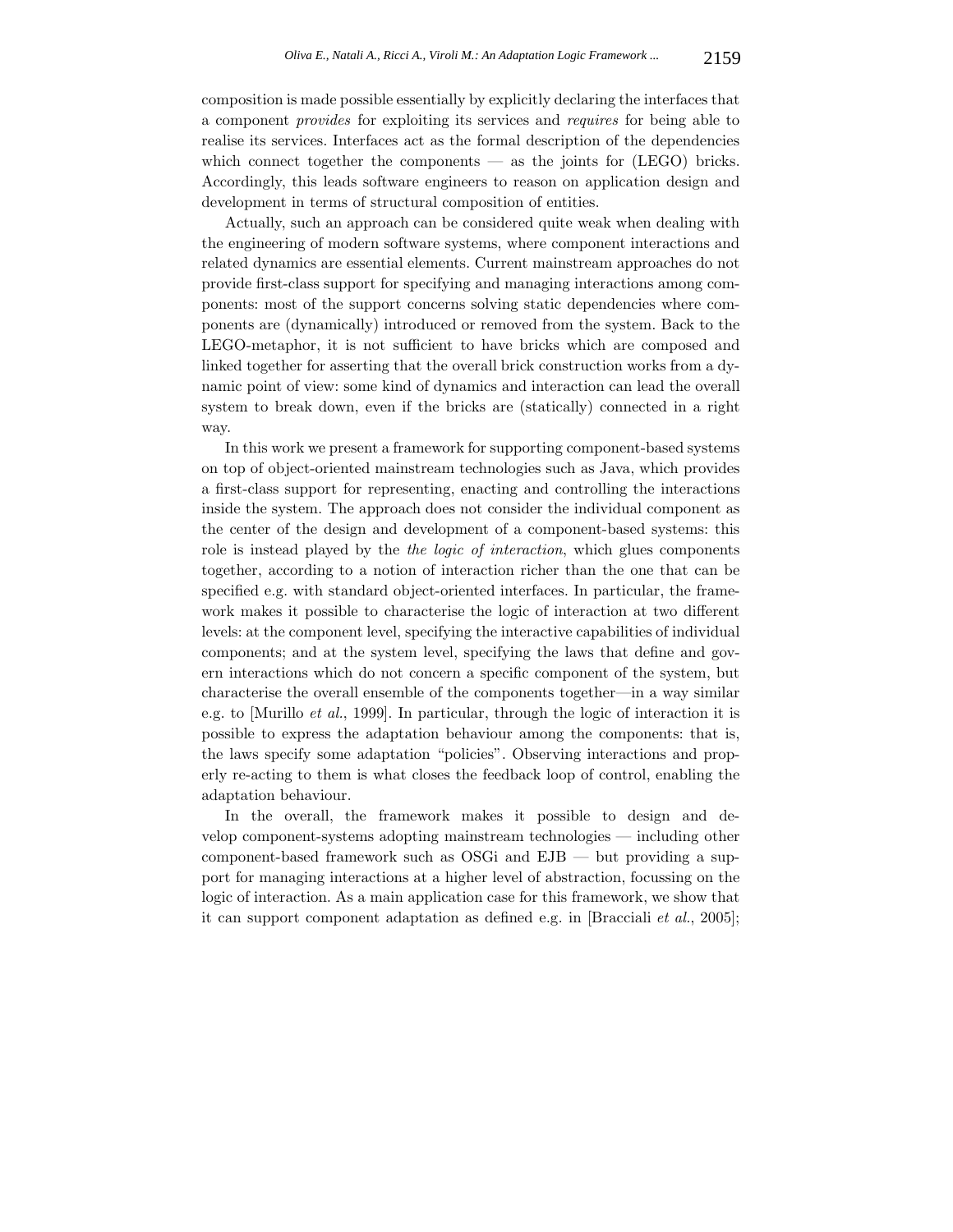composition is made possible essentially by explicitly declaring the interfaces that a component *provides* for exploiting its services and *requires* for being able to realise its services. Interfaces act as the formal description of the dependencies which connect together the components  $-$  as the joints for (LEGO) bricks. Accordingly, this leads software engineers to reason on application design and development in terms of structural composition of entities.

Actually, such an approach can be considered quite weak when dealing with the engineering of modern software systems, where component interactions and related dynamics are essential elements. Current mainstream approaches do not provide first-class support for specifying and managing interactions among components: most of the support concerns solving static dependencies where components are (dynamically) introduced or removed from the system. Back to the LEGO-metaphor, it is not sufficient to have bricks which are composed and linked together for asserting that the overall brick construction works from a dynamic point of view: some kind of dynamics and interaction can lead the overall system to break down, even if the bricks are (statically) connected in a right way.

In this work we present a framework for supporting component-based systems on top of object-oriented mainstream technologies such as Java, which provides a first-class support for representing, enacting and controlling the interactions inside the system. The approach does not consider the individual component as the center of the design and development of a component-based systems: this role is instead played by the *the logic of interaction*, which glues components together, according to a notion of interaction richer than the one that can be specified e.g. with standard object-oriented interfaces. In particular, the framework makes it possible to characterise the logic of interaction at two different levels: at the component level, specifying the interactive capabilities of individual components; and at the system level, specifying the laws that define and govern interactions which do not concern a specific component of the system, but characterise the overall ensemble of the components together—in a way similar e.g. to [Murillo *et al.*, 1999]. In particular, through the logic of interaction it is possible to express the adaptation behaviour among the components: that is, the laws specify some adaptation "policies". Observing interactions and properly re-acting to them is what closes the feedback loop of control, enabling the adaptation behaviour.

In the overall, the framework makes it possible to design and develop component-systems adopting mainstream technologies — including other component-based framework such as OSGi and  $EJB -$  but providing a support for managing interactions at a higher level of abstraction, focussing on the logic of interaction. As a main application case for this framework, we show that it can support component adaptation as defined e.g. in [Bracciali *et al.*, 2005];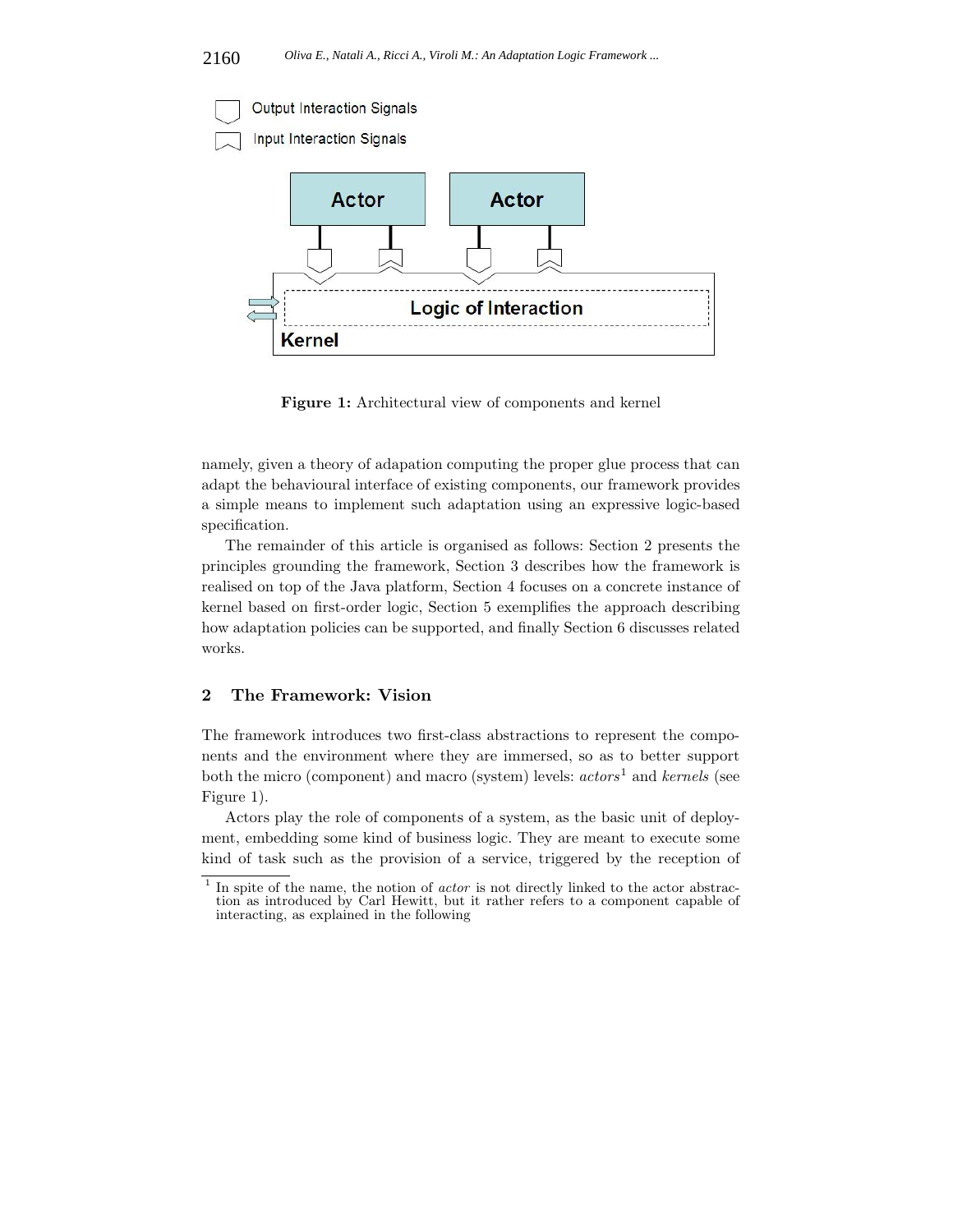

**Figure 1:** Architectural view of components and kernel

namely, given a theory of adapation computing the proper glue process that can adapt the behavioural interface of existing components, our framework provides a simple means to implement such adaptation using an expressive logic-based specification.

The remainder of this article is organised as follows: Section 2 presents the principles grounding the framework, Section 3 describes how the framework is realised on top of the Java platform, Section 4 focuses on a concrete instance of kernel based on first-order logic, Section 5 exemplifies the approach describing how adaptation policies can be supported, and finally Section 6 discusses related works.

# **2 The Framework: Vision**

The framework introduces two first-class abstractions to represent the components and the environment where they are immersed, so as to better support both the micro (component) and macro (system) levels: *actors*<sup>1</sup> and *kernels* (see Figure 1).

Actors play the role of components of a system, as the basic unit of deployment, embedding some kind of business logic. They are meant to execute some kind of task such as the provision of a service, triggered by the reception of

<sup>1</sup> In spite of the name, the notion of *actor* is not directly linked to the actor abstraction as introduced by Carl Hewitt, but it rather refers to a component capable of interacting, as explained in the following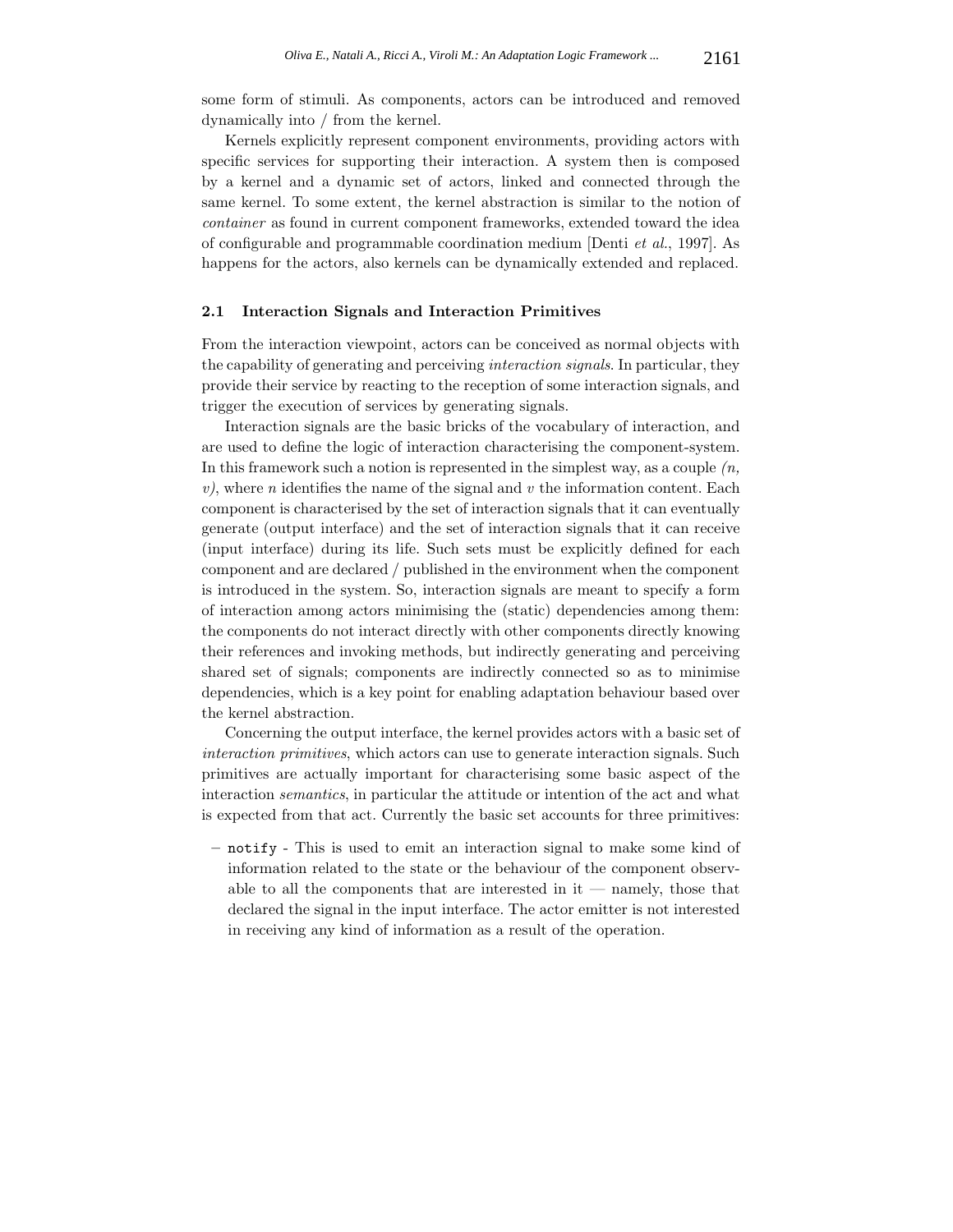some form of stimuli. As components, actors can be introduced and removed dynamically into / from the kernel.

Kernels explicitly represent component environments, providing actors with specific services for supporting their interaction. A system then is composed by a kernel and a dynamic set of actors, linked and connected through the same kernel. To some extent, the kernel abstraction is similar to the notion of *container* as found in current component frameworks, extended toward the idea of configurable and programmable coordination medium [Denti *et al.*, 1997]. As happens for the actors, also kernels can be dynamically extended and replaced.

# **2.1 Interaction Signals and Interaction Primitives**

From the interaction viewpoint, actors can be conceived as normal objects with the capability of generating and perceiving *interaction signals*. In particular, they provide their service by reacting to the reception of some interaction signals, and trigger the execution of services by generating signals.

Interaction signals are the basic bricks of the vocabulary of interaction, and are used to define the logic of interaction characterising the component-system. In this framework such a notion is represented in the simplest way, as a couple *(n,*  $v$ , where *n* identifies the name of the signal and  $v$  the information content. Each component is characterised by the set of interaction signals that it can eventually generate (output interface) and the set of interaction signals that it can receive (input interface) during its life. Such sets must be explicitly defined for each component and are declared / published in the environment when the component is introduced in the system. So, interaction signals are meant to specify a form of interaction among actors minimising the (static) dependencies among them: the components do not interact directly with other components directly knowing their references and invoking methods, but indirectly generating and perceiving shared set of signals; components are indirectly connected so as to minimise dependencies, which is a key point for enabling adaptation behaviour based over the kernel abstraction.

Concerning the output interface, the kernel provides actors with a basic set of *interaction primitives*, which actors can use to generate interaction signals. Such primitives are actually important for characterising some basic aspect of the interaction *semantics*, in particular the attitude or intention of the act and what is expected from that act. Currently the basic set accounts for three primitives:

**–** notify - This is used to emit an interaction signal to make some kind of information related to the state or the behaviour of the component observable to all the components that are interested in  $it$  — namely, those that declared the signal in the input interface. The actor emitter is not interested in receiving any kind of information as a result of the operation.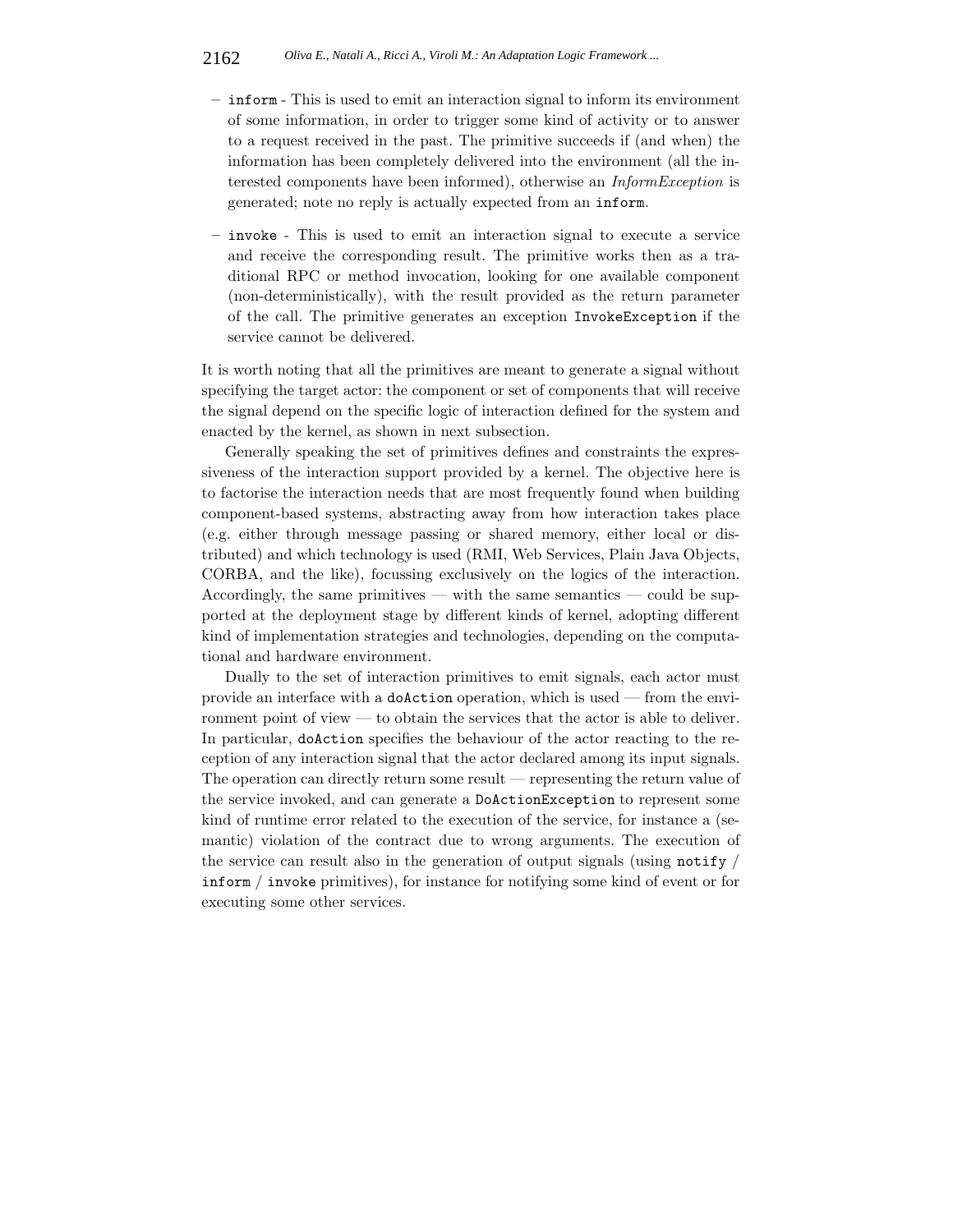- **–** inform This is used to emit an interaction signal to inform its environment of some information, in order to trigger some kind of activity or to answer to a request received in the past. The primitive succeeds if (and when) the information has been completely delivered into the environment (all the interested components have been informed), otherwise an *InformException* is generated; note no reply is actually expected from an inform.
- **–** invoke This is used to emit an interaction signal to execute a service and receive the corresponding result. The primitive works then as a traditional RPC or method invocation, looking for one available component (non-deterministically), with the result provided as the return parameter of the call. The primitive generates an exception InvokeException if the service cannot be delivered.

It is worth noting that all the primitives are meant to generate a signal without specifying the target actor: the component or set of components that will receive the signal depend on the specific logic of interaction defined for the system and enacted by the kernel, as shown in next subsection.

Generally speaking the set of primitives defines and constraints the expressiveness of the interaction support provided by a kernel. The objective here is to factorise the interaction needs that are most frequently found when building component-based systems, abstracting away from how interaction takes place (e.g. either through message passing or shared memory, either local or distributed) and which technology is used (RMI, Web Services, Plain Java Objects, CORBA, and the like), focussing exclusively on the logics of the interaction. Accordingly, the same primitives — with the same semantics — could be supported at the deployment stage by different kinds of kernel, adopting different kind of implementation strategies and technologies, depending on the computational and hardware environment.

Dually to the set of interaction primitives to emit signals, each actor must provide an interface with a doAction operation, which is used — from the environment point of view — to obtain the services that the actor is able to deliver. In particular, doAction specifies the behaviour of the actor reacting to the reception of any interaction signal that the actor declared among its input signals. The operation can directly return some result — representing the return value of the service invoked, and can generate a DoActionException to represent some kind of runtime error related to the execution of the service, for instance a (semantic) violation of the contract due to wrong arguments. The execution of the service can result also in the generation of output signals (using notify / inform / invoke primitives), for instance for notifying some kind of event or for executing some other services.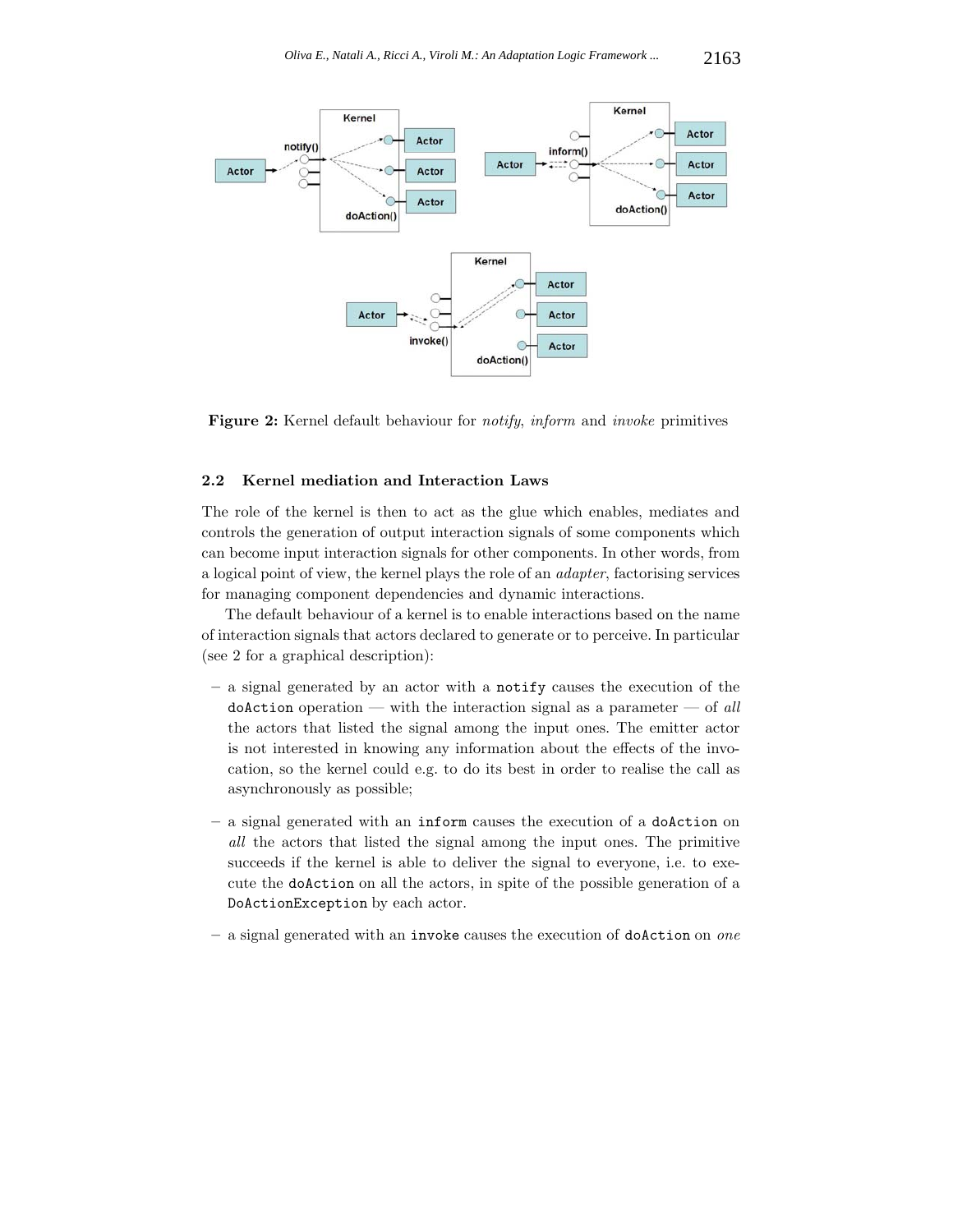

**Figure 2:** Kernel default behaviour for *notify*, *inform* and *invoke* primitives

# **2.2 Kernel mediation and Interaction Laws**

The role of the kernel is then to act as the glue which enables, mediates and controls the generation of output interaction signals of some components which can become input interaction signals for other components. In other words, from a logical point of view, the kernel plays the role of an *adapter*, factorising services for managing component dependencies and dynamic interactions.

The default behaviour of a kernel is to enable interactions based on the name of interaction signals that actors declared to generate or to perceive. In particular (see 2 for a graphical description):

- **–** a signal generated by an actor with a notify causes the execution of the doAction operation — with the interaction signal as a parameter — of *all* the actors that listed the signal among the input ones. The emitter actor is not interested in knowing any information about the effects of the invocation, so the kernel could e.g. to do its best in order to realise the call as asynchronously as possible;
- **–** a signal generated with an inform causes the execution of a doAction on *all* the actors that listed the signal among the input ones. The primitive succeeds if the kernel is able to deliver the signal to everyone, i.e. to execute the doAction on all the actors, in spite of the possible generation of a DoActionException by each actor.
- **–** a signal generated with an invoke causes the execution of doAction on *one*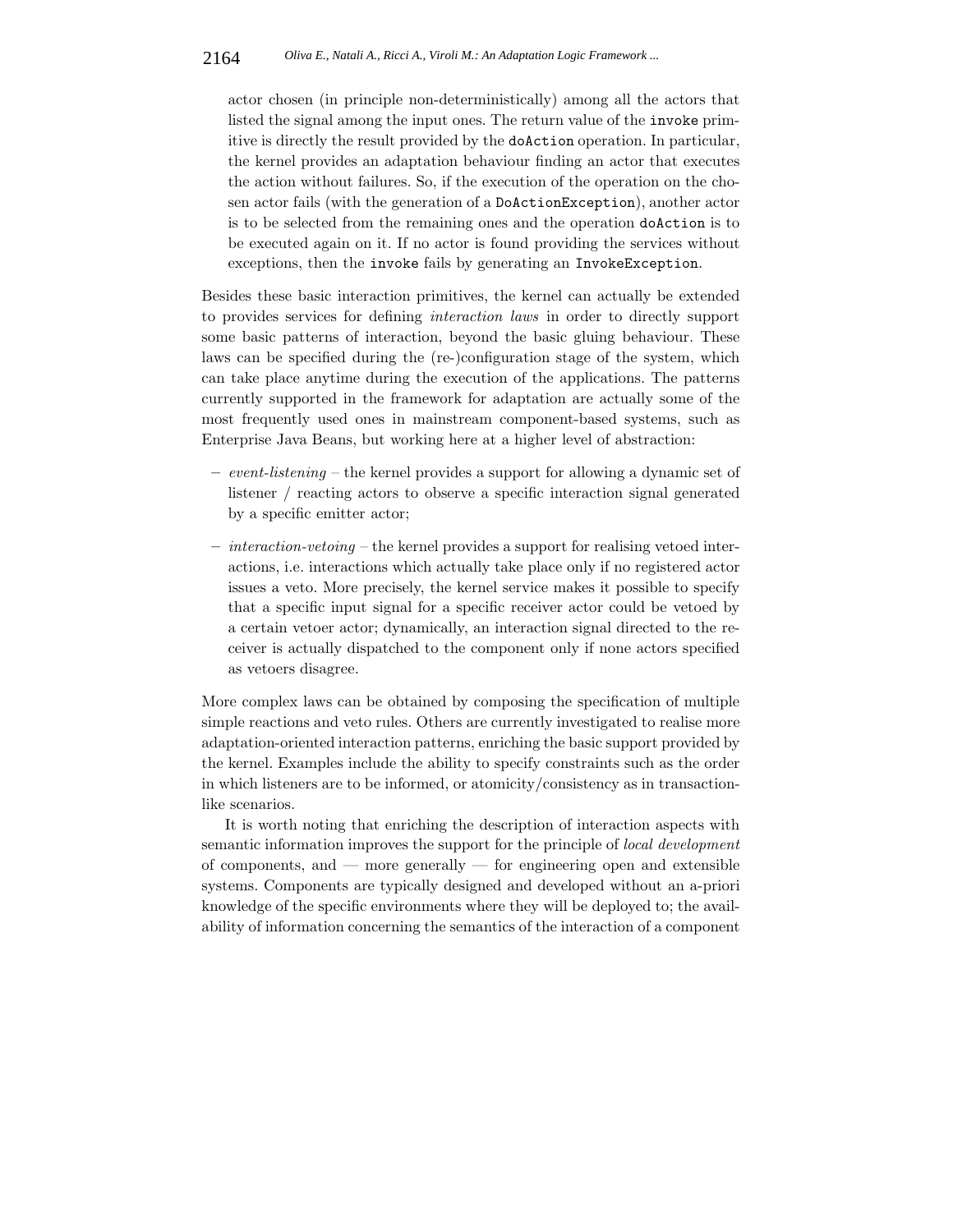actor chosen (in principle non-deterministically) among all the actors that listed the signal among the input ones. The return value of the invoke primitive is directly the result provided by the doAction operation. In particular, the kernel provides an adaptation behaviour finding an actor that executes the action without failures. So, if the execution of the operation on the chosen actor fails (with the generation of a DoActionException), another actor is to be selected from the remaining ones and the operation doAction is to be executed again on it. If no actor is found providing the services without exceptions, then the invoke fails by generating an InvokeException.

Besides these basic interaction primitives, the kernel can actually be extended to provides services for defining *interaction laws* in order to directly support some basic patterns of interaction, beyond the basic gluing behaviour. These laws can be specified during the (re-)configuration stage of the system, which can take place anytime during the execution of the applications. The patterns currently supported in the framework for adaptation are actually some of the most frequently used ones in mainstream component-based systems, such as Enterprise Java Beans, but working here at a higher level of abstraction:

- **–** *event-listening* the kernel provides a support for allowing a dynamic set of listener / reacting actors to observe a specific interaction signal generated by a specific emitter actor;
- **–** *interaction-vetoing* the kernel provides a support for realising vetoed interactions, i.e. interactions which actually take place only if no registered actor issues a veto. More precisely, the kernel service makes it possible to specify that a specific input signal for a specific receiver actor could be vetoed by a certain vetoer actor; dynamically, an interaction signal directed to the receiver is actually dispatched to the component only if none actors specified as vetoers disagree.

More complex laws can be obtained by composing the specification of multiple simple reactions and veto rules. Others are currently investigated to realise more adaptation-oriented interaction patterns, enriching the basic support provided by the kernel. Examples include the ability to specify constraints such as the order in which listeners are to be informed, or atomicity/consistency as in transactionlike scenarios.

It is worth noting that enriching the description of interaction aspects with semantic information improves the support for the principle of *local development* of components, and — more generally — for engineering open and extensible systems. Components are typically designed and developed without an a-priori knowledge of the specific environments where they will be deployed to; the availability of information concerning the semantics of the interaction of a component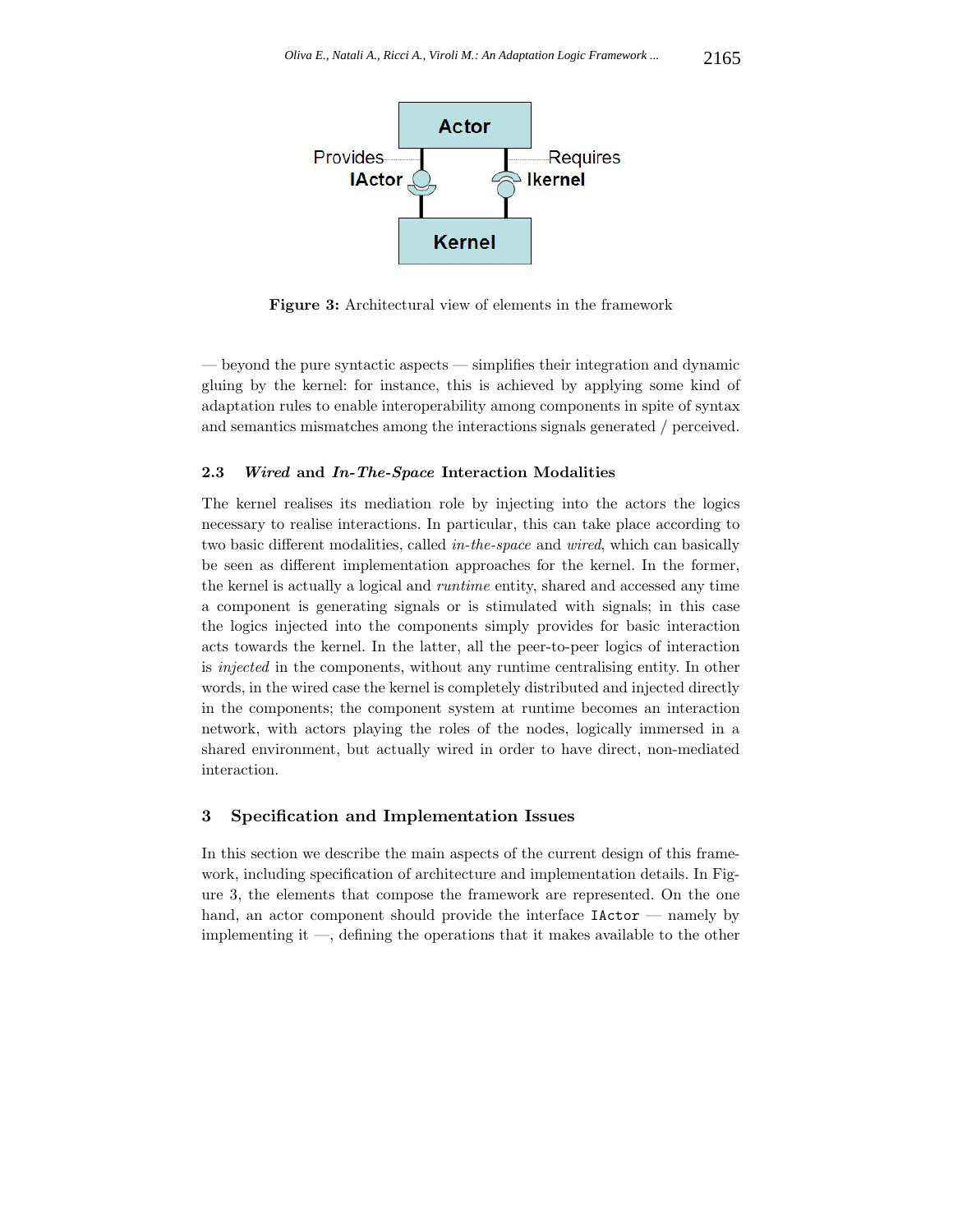

**Figure 3:** Architectural view of elements in the framework

— beyond the pure syntactic aspects — simplifies their integration and dynamic gluing by the kernel: for instance, this is achieved by applying some kind of adaptation rules to enable interoperability among components in spite of syntax and semantics mismatches among the interactions signals generated / perceived.

## **2.3** *Wired* **and** *In-The-Space* **Interaction Modalities**

The kernel realises its mediation role by injecting into the actors the logics necessary to realise interactions. In particular, this can take place according to two basic different modalities, called *in-the-space* and *wired*, which can basically be seen as different implementation approaches for the kernel. In the former, the kernel is actually a logical and *runtime* entity, shared and accessed any time a component is generating signals or is stimulated with signals; in this case the logics injected into the components simply provides for basic interaction acts towards the kernel. In the latter, all the peer-to-peer logics of interaction is *injected* in the components, without any runtime centralising entity. In other words, in the wired case the kernel is completely distributed and injected directly in the components; the component system at runtime becomes an interaction network, with actors playing the roles of the nodes, logically immersed in a shared environment, but actually wired in order to have direct, non-mediated interaction.

# **3 Specification and Implementation Issues**

In this section we describe the main aspects of the current design of this framework, including specification of architecture and implementation details. In Figure 3, the elements that compose the framework are represented. On the one hand, an actor component should provide the interface  $IActor$  — namely by implementing it —, defining the operations that it makes available to the other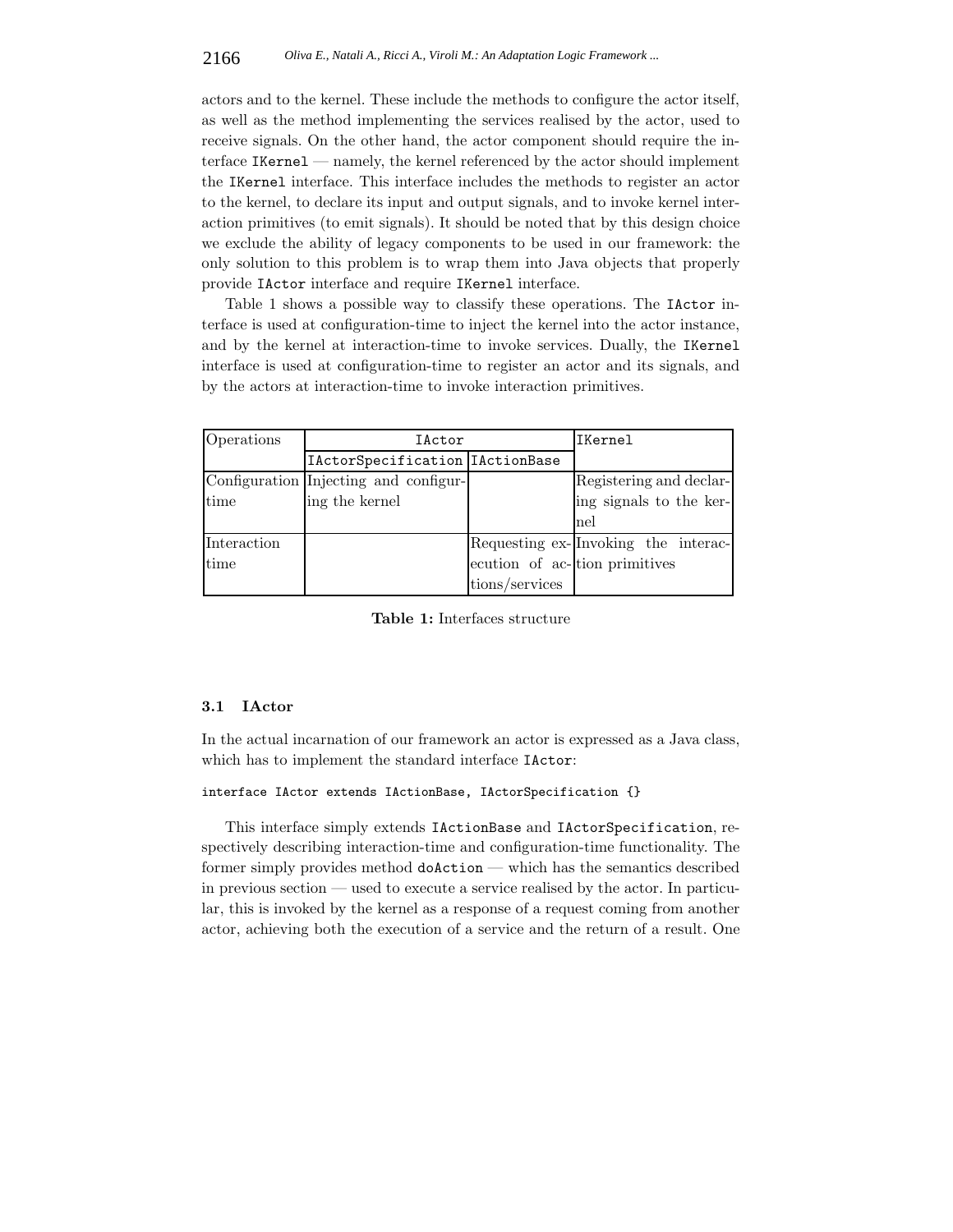actors and to the kernel. These include the methods to configure the actor itself, as well as the method implementing the services realised by the actor, used to receive signals. On the other hand, the actor component should require the interface IKernel — namely, the kernel referenced by the actor should implement the IKernel interface. This interface includes the methods to register an actor to the kernel, to declare its input and output signals, and to invoke kernel interaction primitives (to emit signals). It should be noted that by this design choice we exclude the ability of legacy components to be used in our framework: the only solution to this problem is to wrap them into Java objects that properly provide IActor interface and require IKernel interface.

Table 1 shows a possible way to classify these operations. The IActor interface is used at configuration-time to inject the kernel into the actor instance, and by the kernel at interaction-time to invoke services. Dually, the IKernel interface is used at configuration-time to register an actor and its signals, and by the actors at interaction-time to invoke interaction primitives.

| Operations  | IActor                                |                               | IKernel                             |
|-------------|---------------------------------------|-------------------------------|-------------------------------------|
|             | IActorSpecification IActionBase       |                               |                                     |
|             | Configuration Injecting and configur- |                               | Registering and declar-             |
| time        | ing the kernel                        |                               | ing signals to the ker-             |
|             |                                       |                               | nel                                 |
| Interaction |                                       |                               | Requesting ex-Invoking the interac- |
| time        |                                       | ecution of ac-tion primitives |                                     |
|             |                                       | tions/services                |                                     |

**Table 1:** Interfaces structure

# **3.1 IActor**

In the actual incarnation of our framework an actor is expressed as a Java class, which has to implement the standard interface IActor:

```
interface IActor extends IActionBase, IActorSpecification {}
```
This interface simply extends IActionBase and IActorSpecification, respectively describing interaction-time and configuration-time functionality. The former simply provides method doAction — which has the semantics described in previous section — used to execute a service realised by the actor. In particular, this is invoked by the kernel as a response of a request coming from another actor, achieving both the execution of a service and the return of a result. One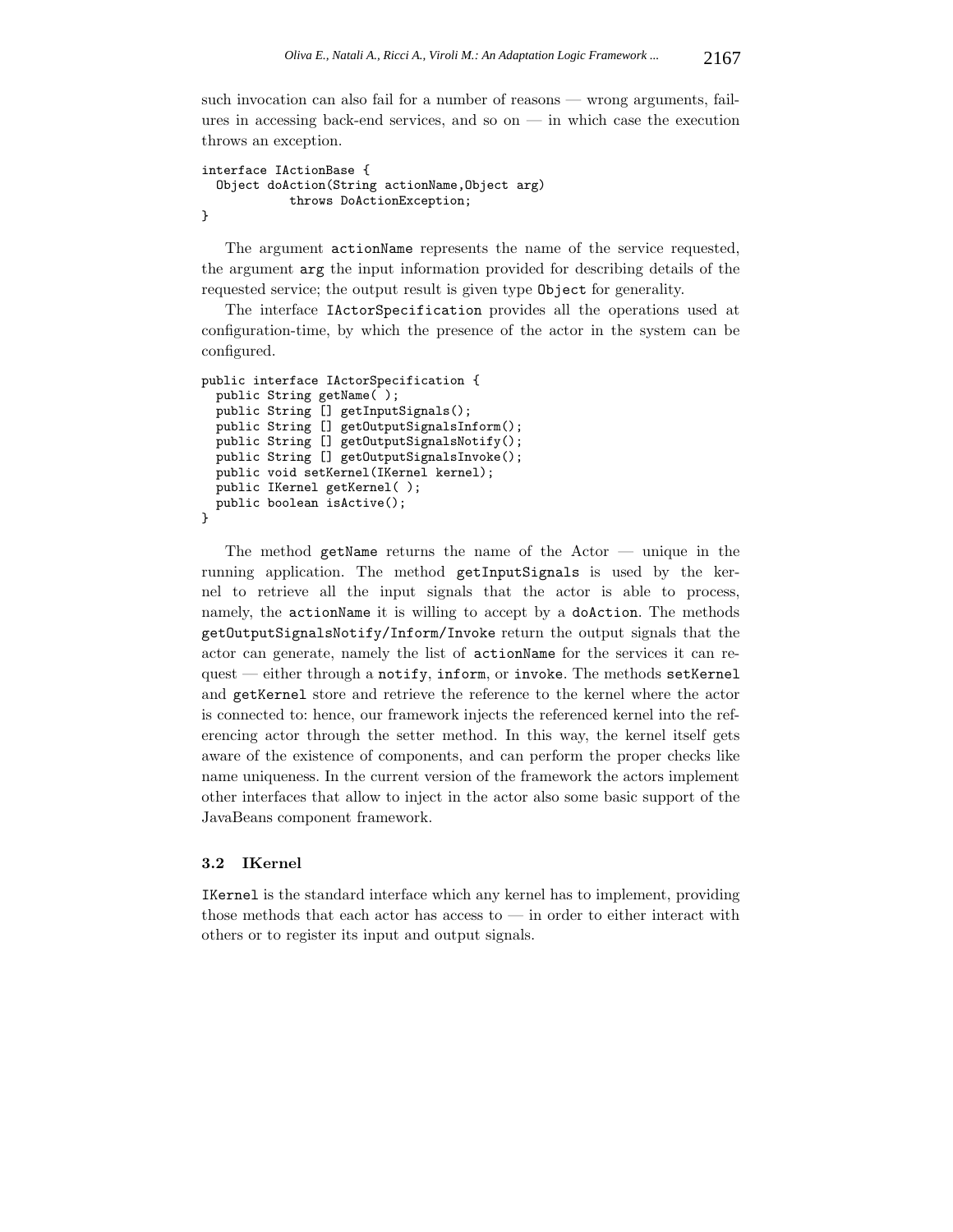such invocation can also fail for a number of reasons — wrong arguments, failures in accessing back-end services, and so on  $-$  in which case the execution throws an exception.

```
interface IActionBase {
  Object doAction(String actionName,Object arg)
            throws DoActionException;
}
```
The argument actionName represents the name of the service requested, the argument arg the input information provided for describing details of the requested service; the output result is given type Object for generality.

The interface IActorSpecification provides all the operations used at configuration-time, by which the presence of the actor in the system can be configured.

```
public interface IActorSpecification {
  public String getName( );
  public String [] getInputSignals();
  public String [] getOutputSignalsInform();
  public String [] getOutputSignalsNotify();
  public String [] getOutputSignalsInvoke();
 public void setKernel(IKernel kernel);
 public IKernel getKernel( );
 public boolean isActive();
}
```
The method getName returns the name of the  $Actor$  — unique in the running application. The method getInputSignals is used by the kernel to retrieve all the input signals that the actor is able to process, namely, the actionName it is willing to accept by a doAction. The methods getOutputSignalsNotify/Inform/Invoke return the output signals that the actor can generate, namely the list of actionName for the services it can request — either through a notify, inform, or invoke. The methods setKernel and getKernel store and retrieve the reference to the kernel where the actor is connected to: hence, our framework injects the referenced kernel into the referencing actor through the setter method. In this way, the kernel itself gets aware of the existence of components, and can perform the proper checks like name uniqueness. In the current version of the framework the actors implement other interfaces that allow to inject in the actor also some basic support of the JavaBeans component framework.

# **3.2 IKernel**

IKernel is the standard interface which any kernel has to implement, providing those methods that each actor has access to — in order to either interact with others or to register its input and output signals.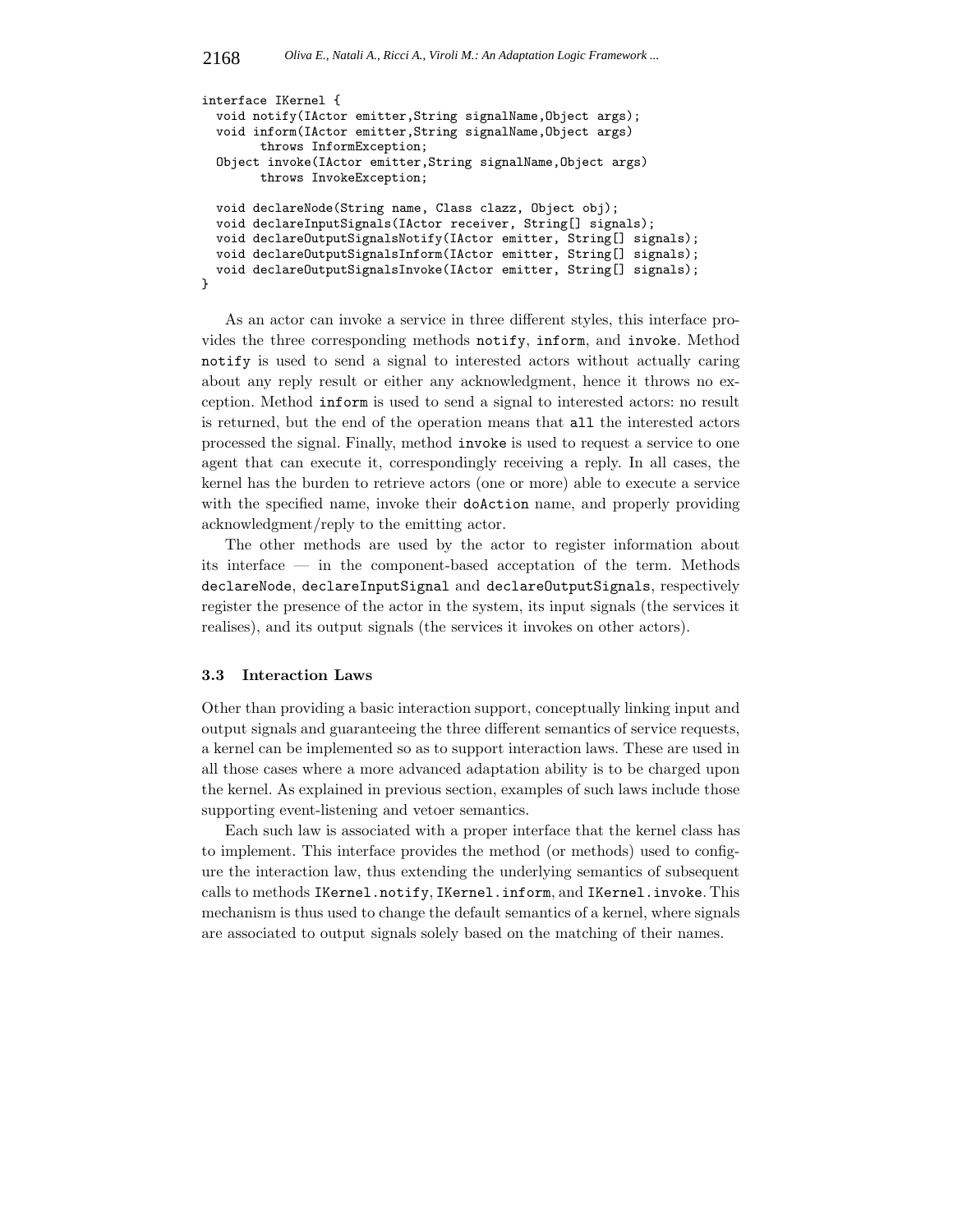```
interface IKernel {
  void notify(IActor emitter,String signalName,Object args);
  void inform(IActor emitter,String signalName,Object args)
        throws InformException;
  Object invoke(IActor emitter,String signalName,Object args)
        throws InvokeException;
  void declareNode(String name, Class clazz, Object obj);
  void declareInputSignals(IActor receiver, String[] signals);
  void declareOutputSignalsNotify(IActor emitter, String[] signals);
  void declareOutputSignalsInform(IActor emitter, String[] signals);
  void declareOutputSignalsInvoke(IActor emitter, String[] signals);
}
```
As an actor can invoke a service in three different styles, this interface provides the three corresponding methods notify, inform, and invoke. Method notify is used to send a signal to interested actors without actually caring about any reply result or either any acknowledgment, hence it throws no exception. Method inform is used to send a signal to interested actors: no result is returned, but the end of the operation means that all the interested actors processed the signal. Finally, method invoke is used to request a service to one agent that can execute it, correspondingly receiving a reply. In all cases, the kernel has the burden to retrieve actors (one or more) able to execute a service with the specified name, invoke their doAction name, and properly providing acknowledgment/reply to the emitting actor.

The other methods are used by the actor to register information about its interface — in the component-based acceptation of the term. Methods declareNode, declareInputSignal and declareOutputSignals, respectively register the presence of the actor in the system, its input signals (the services it realises), and its output signals (the services it invokes on other actors).

## **3.3 Interaction Laws**

Other than providing a basic interaction support, conceptually linking input and output signals and guaranteeing the three different semantics of service requests, a kernel can be implemented so as to support interaction laws. These are used in all those cases where a more advanced adaptation ability is to be charged upon the kernel. As explained in previous section, examples of such laws include those supporting event-listening and vetoer semantics.

Each such law is associated with a proper interface that the kernel class has to implement. This interface provides the method (or methods) used to configure the interaction law, thus extending the underlying semantics of subsequent calls to methods IKernel.notify, IKernel.inform, and IKernel.invoke. This mechanism is thus used to change the default semantics of a kernel, where signals are associated to output signals solely based on the matching of their names.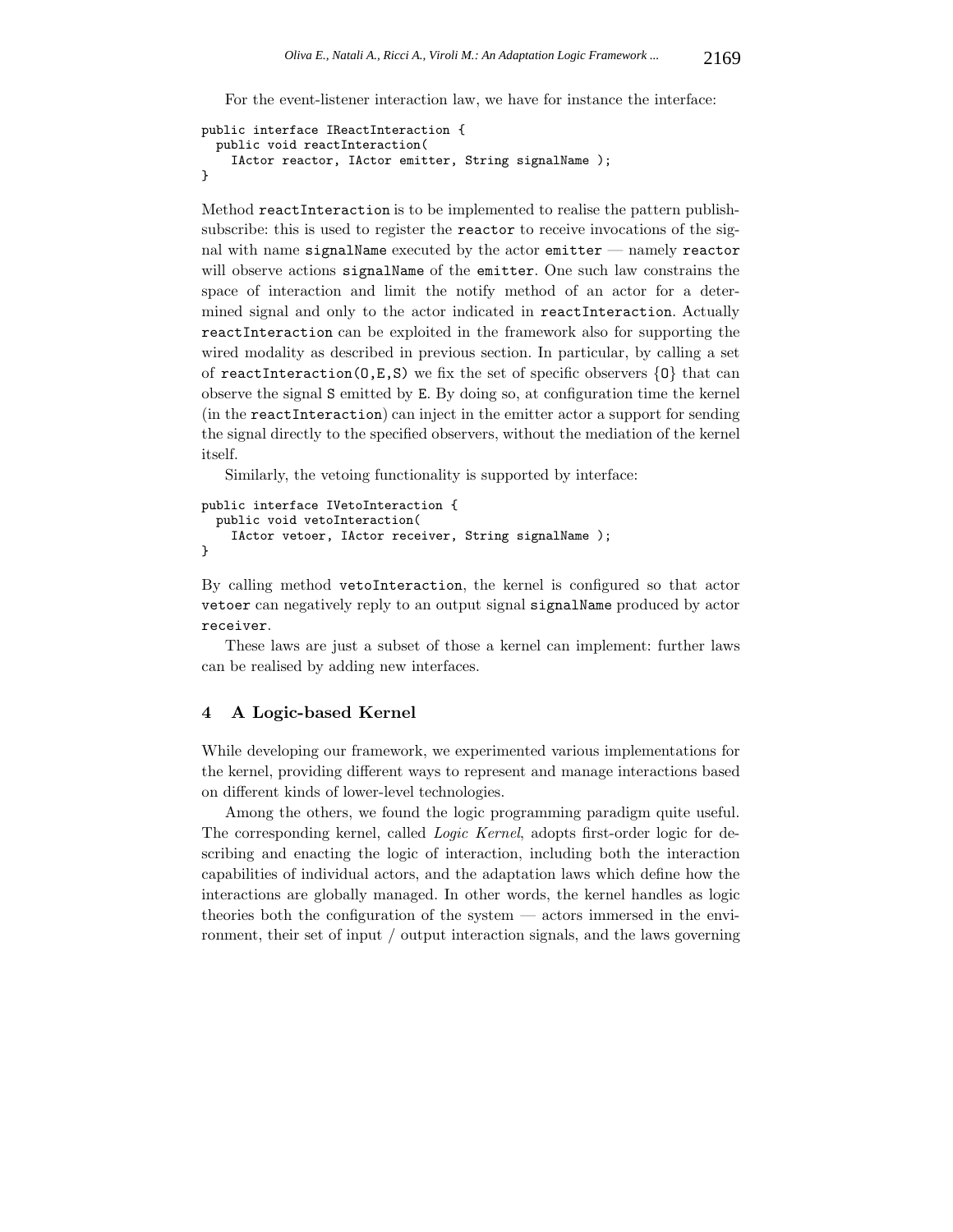For the event-listener interaction law, we have for instance the interface:

```
public interface IReactInteraction {
 public void reactInteraction(
    IActor reactor, IActor emitter, String signalName );
}
```
Method reactInteraction is to be implemented to realise the pattern publishsubscribe: this is used to register the reactor to receive invocations of the signal with name signalName executed by the actor emitter — namely reactor will observe actions signalName of the emitter. One such law constrains the space of interaction and limit the notify method of an actor for a determined signal and only to the actor indicated in reactInteraction. Actually reactInteraction can be exploited in the framework also for supporting the wired modality as described in previous section. In particular, by calling a set of reactInteraction(O,E,S) we fix the set of specific observers *{*O*}* that can observe the signal S emitted by E. By doing so, at configuration time the kernel (in the reactInteraction) can inject in the emitter actor a support for sending the signal directly to the specified observers, without the mediation of the kernel itself.

Similarly, the vetoing functionality is supported by interface:

```
public interface IVetoInteraction {
  public void vetoInteraction(
    IActor vetoer, IActor receiver, String signalName );
}
```
By calling method vetoInteraction, the kernel is configured so that actor vetoer can negatively reply to an output signal signalName produced by actor receiver.

These laws are just a subset of those a kernel can implement: further laws can be realised by adding new interfaces.

#### **4 A Logic-based Kernel**

While developing our framework, we experimented various implementations for the kernel, providing different ways to represent and manage interactions based on different kinds of lower-level technologies.

Among the others, we found the logic programming paradigm quite useful. The corresponding kernel, called *Logic Kernel*, adopts first-order logic for describing and enacting the logic of interaction, including both the interaction capabilities of individual actors, and the adaptation laws which define how the interactions are globally managed. In other words, the kernel handles as logic theories both the configuration of the system — actors immersed in the environment, their set of input / output interaction signals, and the laws governing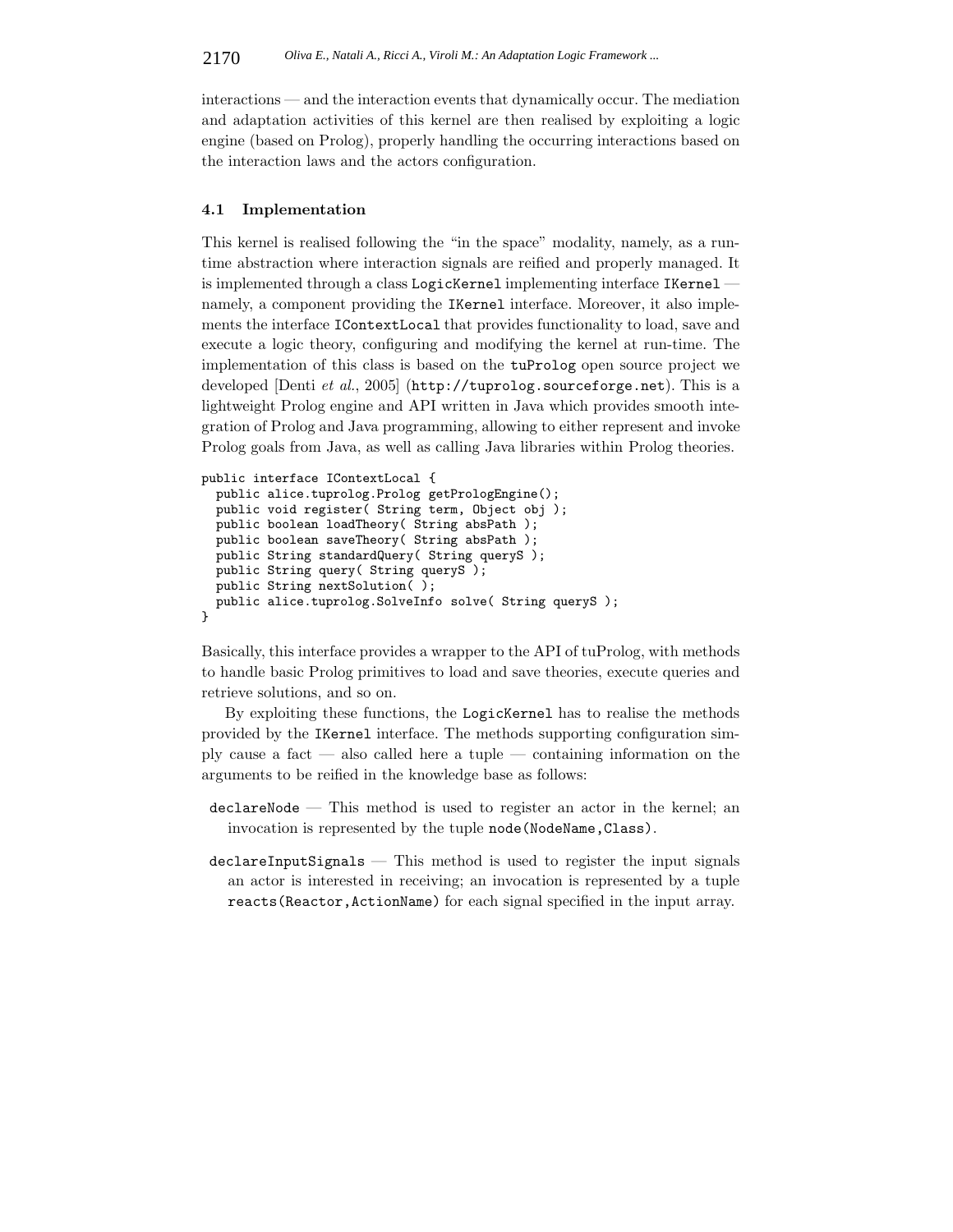interactions — and the interaction events that dynamically occur. The mediation and adaptation activities of this kernel are then realised by exploiting a logic engine (based on Prolog), properly handling the occurring interactions based on the interaction laws and the actors configuration.

# **4.1 Implementation**

This kernel is realised following the "in the space" modality, namely, as a runtime abstraction where interaction signals are reified and properly managed. It is implemented through a class LogicKernel implementing interface IKernel namely, a component providing the IKernel interface. Moreover, it also implements the interface IContextLocal that provides functionality to load, save and execute a logic theory, configuring and modifying the kernel at run-time. The implementation of this class is based on the tuProlog open source project we developed [Denti *et al.*, 2005] (http://tuprolog.sourceforge.net). This is a lightweight Prolog engine and API written in Java which provides smooth integration of Prolog and Java programming, allowing to either represent and invoke Prolog goals from Java, as well as calling Java libraries within Prolog theories.

```
public interface IContextLocal {
  public alice.tuprolog.Prolog getPrologEngine();
  public void register( String term, Object obj );
  public boolean loadTheory( String absPath );
  public boolean saveTheory( String absPath );
  public String standardQuery( String queryS );
 public String query( String queryS );
 public String nextSolution( );
 public alice.tuprolog.SolveInfo solve( String queryS );
}
```
Basically, this interface provides a wrapper to the API of tuProlog, with methods to handle basic Prolog primitives to load and save theories, execute queries and retrieve solutions, and so on.

By exploiting these functions, the LogicKernel has to realise the methods provided by the IKernel interface. The methods supporting configuration simply cause a fact — also called here a tuple — containing information on the arguments to be reified in the knowledge base as follows:

- declareNode This method is used to register an actor in the kernel; an invocation is represented by the tuple node(NodeName,Class).
- declareInputSignals This method is used to register the input signals an actor is interested in receiving; an invocation is represented by a tuple reacts(Reactor,ActionName) for each signal specified in the input array.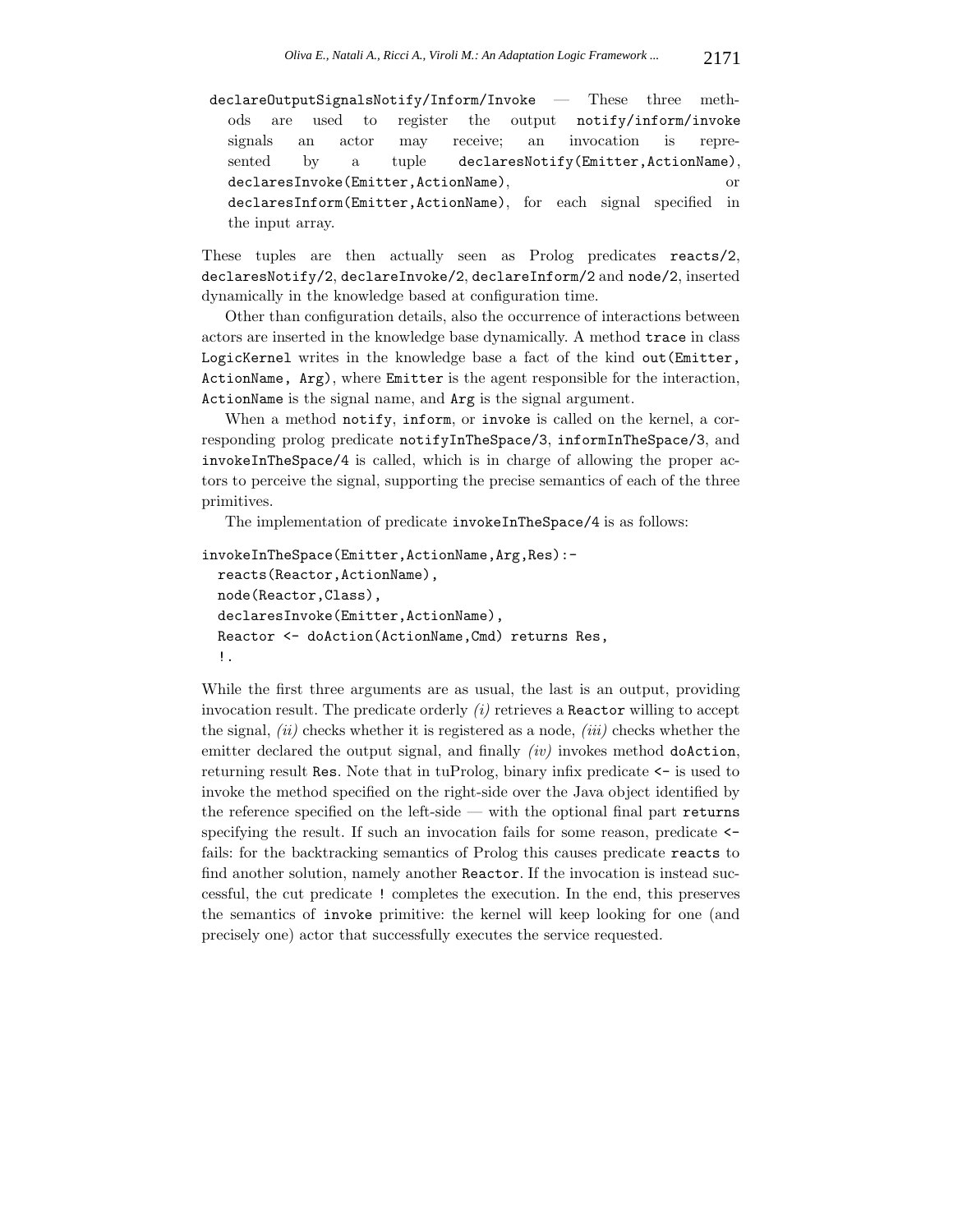declareOutputSignalsNotify/Inform/Invoke — These three methods are used to register the output notify/inform/invoke signals an actor may receive; an invocation is represented by a tuple declaresNotify(Emitter,ActionName), declaresInvoke(Emitter,ActionName), or declaresInform(Emitter,ActionName), for each signal specified in the input array.

These tuples are then actually seen as Prolog predicates reacts/2, declaresNotify/2, declareInvoke/2, declareInform/2 and node/2, inserted dynamically in the knowledge based at configuration time.

Other than configuration details, also the occurrence of interactions between actors are inserted in the knowledge base dynamically. A method trace in class LogicKernel writes in the knowledge base a fact of the kind out(Emitter, ActionName, Arg), where Emitter is the agent responsible for the interaction, ActionName is the signal name, and Arg is the signal argument.

When a method notify, inform, or invoke is called on the kernel, a corresponding prolog predicate notifyInTheSpace/3, informInTheSpace/3, and invokeInTheSpace/4 is called, which is in charge of allowing the proper actors to perceive the signal, supporting the precise semantics of each of the three primitives.

The implementation of predicate invokeInTheSpace/4 is as follows:

```
invokeInTheSpace(Emitter,ActionName,Arg,Res):-
 reacts(Reactor,ActionName),
 node(Reactor,Class),
 declaresInvoke(Emitter,ActionName),
 Reactor <- doAction(ActionName,Cmd) returns Res,
  !.
```
While the first three arguments are as usual, the last is an output, providing invocation result. The predicate orderly *(i)* retrieves a Reactor willing to accept the signal, *(ii)* checks whether it is registered as a node, *(iii)* checks whether the emitter declared the output signal, and finally *(iv)* invokes method doAction, returning result Res. Note that in tuProlog, binary infix predicate <- is used to invoke the method specified on the right-side over the Java object identified by the reference specified on the left-side  $-$  with the optional final part returns specifying the result. If such an invocation fails for some reason, predicate  $\leftarrow$ fails: for the backtracking semantics of Prolog this causes predicate reacts to find another solution, namely another Reactor. If the invocation is instead successful, the cut predicate ! completes the execution. In the end, this preserves the semantics of invoke primitive: the kernel will keep looking for one (and precisely one) actor that successfully executes the service requested.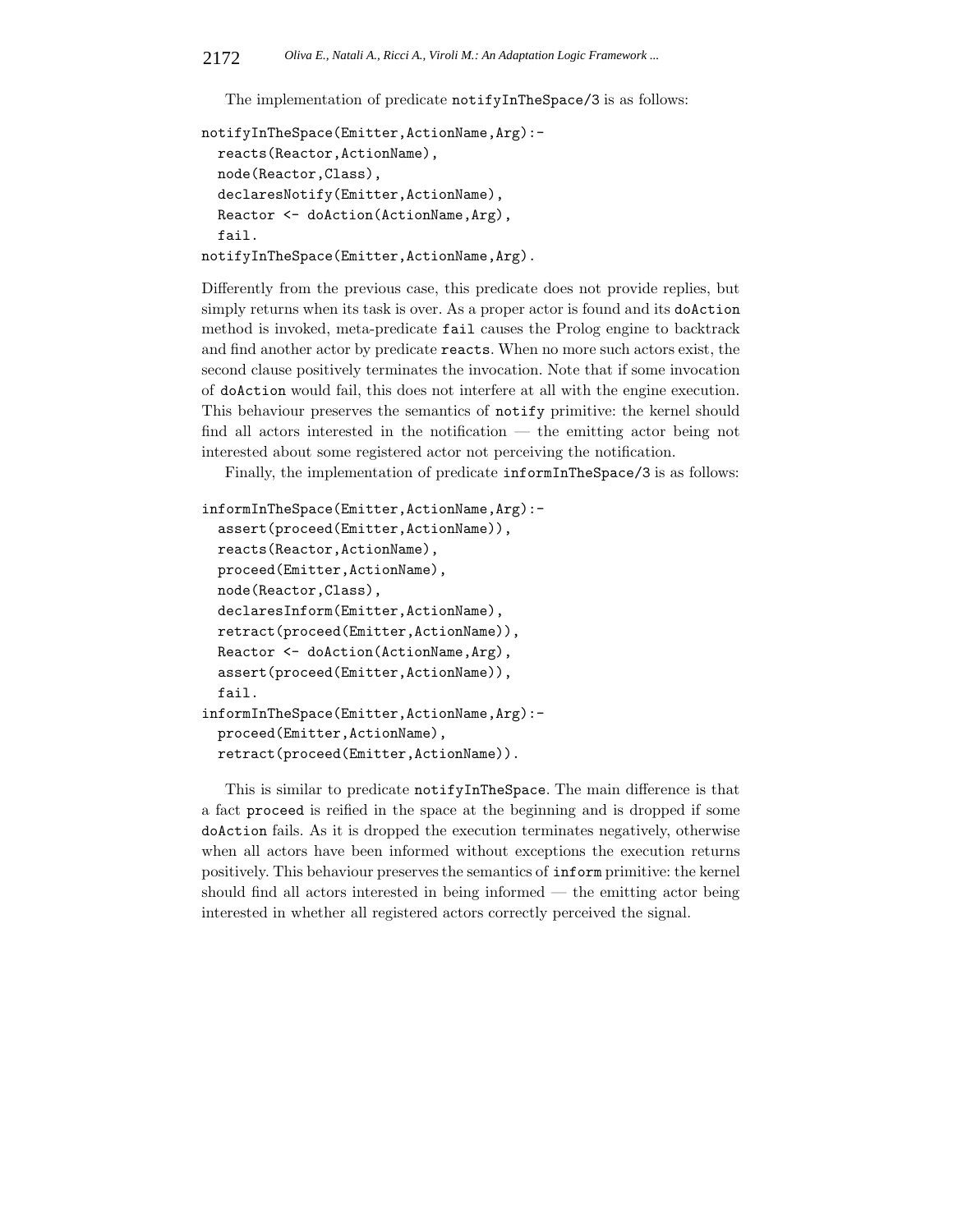The implementation of predicate notifyInTheSpace/3 is as follows:

```
notifyInTheSpace(Emitter,ActionName,Arg):-
  reacts(Reactor,ActionName),
  node(Reactor,Class),
  declaresNotify(Emitter,ActionName),
  Reactor <- doAction(ActionName,Arg),
  fail.
notifyInTheSpace(Emitter,ActionName,Arg).
```
Differently from the previous case, this predicate does not provide replies, but simply returns when its task is over. As a proper actor is found and its doAction method is invoked, meta-predicate fail causes the Prolog engine to backtrack and find another actor by predicate reacts. When no more such actors exist, the second clause positively terminates the invocation. Note that if some invocation of doAction would fail, this does not interfere at all with the engine execution. This behaviour preserves the semantics of notify primitive: the kernel should find all actors interested in the notification — the emitting actor being not interested about some registered actor not perceiving the notification.

Finally, the implementation of predicate informInTheSpace/3 is as follows:

```
informInTheSpace(Emitter,ActionName,Arg):-
 assert(proceed(Emitter,ActionName)),
 reacts(Reactor,ActionName),
 proceed(Emitter,ActionName),
 node(Reactor,Class),
 declaresInform(Emitter,ActionName),
 retract(proceed(Emitter,ActionName)),
 Reactor \leq doAction(ActionName, Arg),
 assert(proceed(Emitter,ActionName)),
 fail.
informInTheSpace(Emitter,ActionName,Arg):-
 proceed(Emitter,ActionName),
 retract(proceed(Emitter,ActionName)).
```
This is similar to predicate notifyInTheSpace. The main difference is that a fact proceed is reified in the space at the beginning and is dropped if some doAction fails. As it is dropped the execution terminates negatively, otherwise when all actors have been informed without exceptions the execution returns positively. This behaviour preserves the semantics of inform primitive: the kernel should find all actors interested in being informed — the emitting actor being interested in whether all registered actors correctly perceived the signal.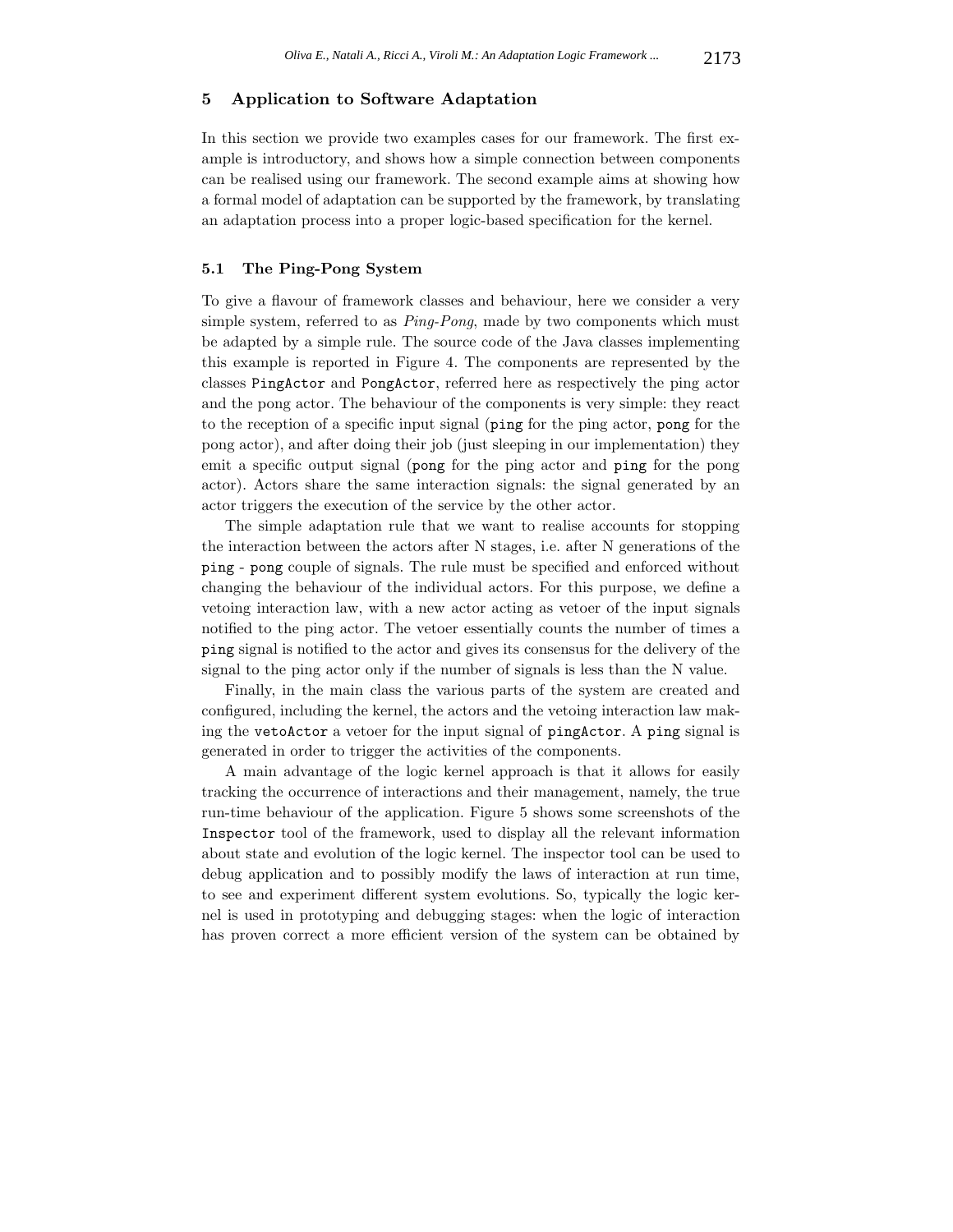# **5 Application to Software Adaptation**

In this section we provide two examples cases for our framework. The first example is introductory, and shows how a simple connection between components can be realised using our framework. The second example aims at showing how a formal model of adaptation can be supported by the framework, by translating an adaptation process into a proper logic-based specification for the kernel.

#### **5.1 The Ping-Pong System**

To give a flavour of framework classes and behaviour, here we consider a very simple system, referred to as *Ping-Pong*, made by two components which must be adapted by a simple rule. The source code of the Java classes implementing this example is reported in Figure 4. The components are represented by the classes PingActor and PongActor, referred here as respectively the ping actor and the pong actor. The behaviour of the components is very simple: they react to the reception of a specific input signal (ping for the ping actor, pong for the pong actor), and after doing their job (just sleeping in our implementation) they emit a specific output signal (pong for the ping actor and ping for the pong actor). Actors share the same interaction signals: the signal generated by an actor triggers the execution of the service by the other actor.

The simple adaptation rule that we want to realise accounts for stopping the interaction between the actors after N stages, i.e. after N generations of the ping - pong couple of signals. The rule must be specified and enforced without changing the behaviour of the individual actors. For this purpose, we define a vetoing interaction law, with a new actor acting as vetoer of the input signals notified to the ping actor. The vetoer essentially counts the number of times a ping signal is notified to the actor and gives its consensus for the delivery of the signal to the ping actor only if the number of signals is less than the N value.

Finally, in the main class the various parts of the system are created and configured, including the kernel, the actors and the vetoing interaction law making the vetoActor a vetoer for the input signal of pingActor. A ping signal is generated in order to trigger the activities of the components.

A main advantage of the logic kernel approach is that it allows for easily tracking the occurrence of interactions and their management, namely, the true run-time behaviour of the application. Figure 5 shows some screenshots of the Inspector tool of the framework, used to display all the relevant information about state and evolution of the logic kernel. The inspector tool can be used to debug application and to possibly modify the laws of interaction at run time, to see and experiment different system evolutions. So, typically the logic kernel is used in prototyping and debugging stages: when the logic of interaction has proven correct a more efficient version of the system can be obtained by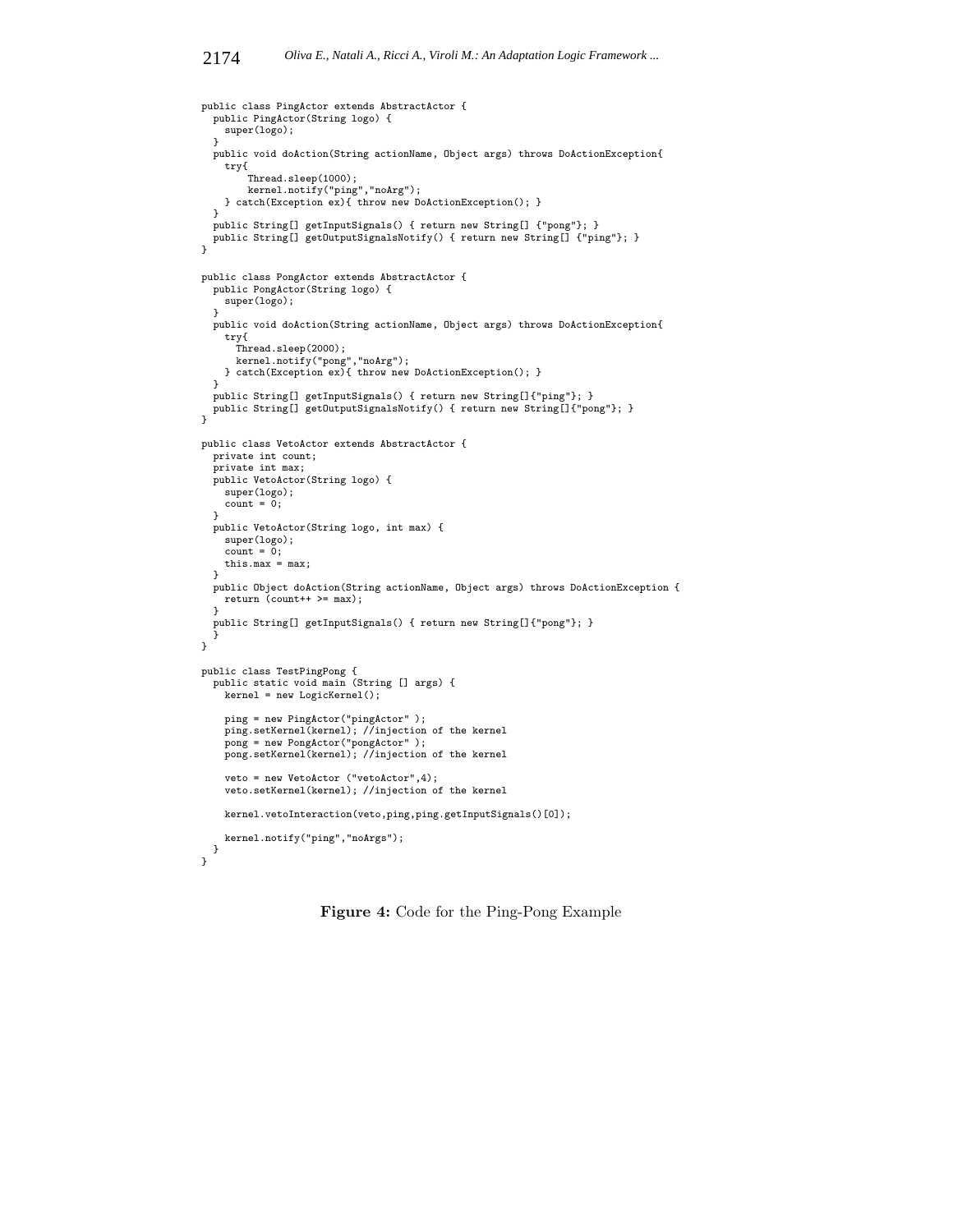```
public class PingActor extends AbstractActor {
  public PingActor(String logo) {
    super(logo);
  }
  public void doAction(String actionName, Object args) throws DoActionException{
    try{
        Thread.sleep(1000);
    kernel.notify("ping","noArg");
} catch(Exception ex){ throw new DoActionException(); }
  }
  public String[] getInputSignals() { return new String[] {"pong"}; }
 public String[] getOutputSignalsNotify() { return new String[] {"ping"}; }
}
public class PongActor extends AbstractActor {
  public PongActor(String logo) {
    super(logo);
  }
 public void doAction(String actionName, Object args) throws DoActionException{
    try{
      Thread.sleep(2000);
    kernel.notify("pong","noArg");
} catch(Exception ex){ throw new DoActionException(); }
  }
  public String[] getInputSignals() { return new String[]{"ping"}; }
 public String[] getOutputSignalsNotify() { return new String[]{"pong"}; }
}
public class VetoActor extends AbstractActor {
 private int count;
  private int max;
  public VetoActor(String logo) {
    super(logo);
    count = 0;}
  public VetoActor(String logo, int max) {
    super(logo);
    count = 0:
    this.max = max;
  }
 public Object doAction(String actionName, Object args) throws DoActionException {
   return (count++ >= max);
  }
  public String[] getInputSignals() { return new String[]{"pong"}; }
  }
}
public class TestPingPong {
public static void main (String [] args) {
    kernel = new LogicKernel();
    ping = new PingActor("pingActor" );
    ping.setKernel(kernel); //injection of the kernel
    pong = new PongActor("pongActor" );
    pong.setKernel(kernel); //injection of the kernel
    veto = new VetoActor ("vetoActor",4);
    veto.setKernel(kernel); //injection of the kernel
    kernel.vetoInteraction(veto,ping,ping.getInputSignals()[0]);
    kernel.notify("ping","noArgs");
 }
}
```
**Figure 4:** Code for the Ping-Pong Example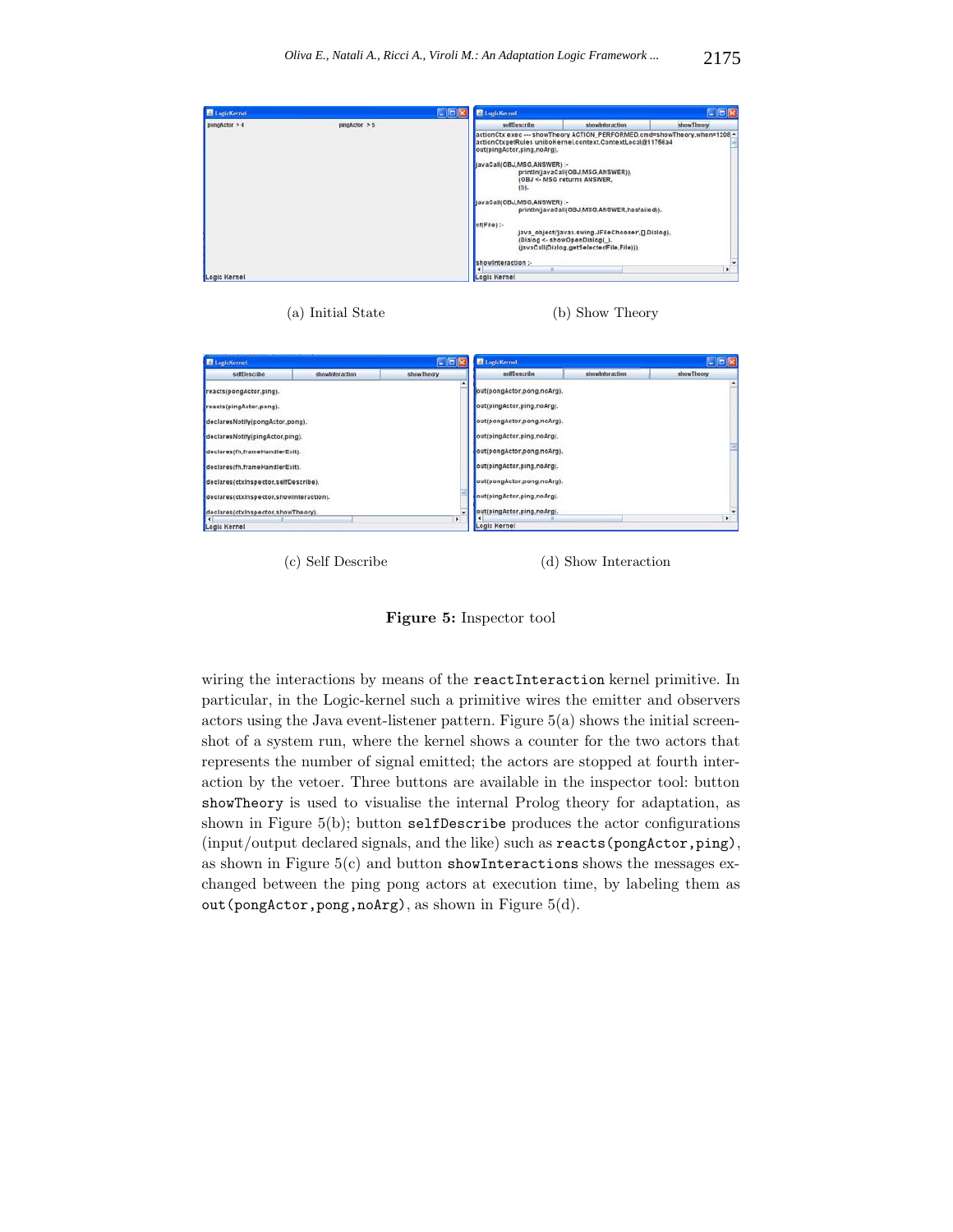

#### (a) Initial State (b) Show Theory

| LogicKernel                             |                 | $\Box$ ok   | $\Box$ D $\times$<br>LogicKernel |                |            |  |
|-----------------------------------------|-----------------|-------------|----------------------------------|----------------|------------|--|
| settDescribe                            | showinteraction | show Theory | selfDescribe                     | showbderaction | showTheory |  |
| ×<br>reacts(pongActor.ping).            |                 |             | outipongActor.pong.noArg).       |                |            |  |
| reacts(pingActor.pong).                 |                 |             | out(pingActor.ping.noArg).       |                |            |  |
| declaresNotify(pongActor,pong).         |                 |             | out(pongActor,pong,noArg).       |                |            |  |
| declaresNotify(pingActor.ping).         |                 |             | out(pingActor.ping.noArg).       |                |            |  |
| declares(fh,frameHandlerExit).          |                 |             | outipongActor.pong.noArg).       |                |            |  |
| declares(fh.frameHandlerExit).          |                 |             | out(pingActor.ping.noArg).       |                |            |  |
| declares(ctxinspector,selfDescribe).    |                 |             | out(pongActor,pong,noArg).       |                |            |  |
| declares(ctxinspector,showinteraction). |                 |             | out(pingActor.ping.noArg).       |                |            |  |
| declares(ctxInspector,showTheory).<br>۰ |                 |             | out(pingActor,ping,noArg).       |                |            |  |
| $\blacktriangleright$<br>Logic Kernel   |                 |             | ×<br>Logic Kernel                |                |            |  |

(c) Self Describe (d) Show Interaction



wiring the interactions by means of the reactInteraction kernel primitive. In particular, in the Logic-kernel such a primitive wires the emitter and observers actors using the Java event-listener pattern. Figure 5(a) shows the initial screenshot of a system run, where the kernel shows a counter for the two actors that represents the number of signal emitted; the actors are stopped at fourth interaction by the vetoer. Three buttons are available in the inspector tool: button showTheory is used to visualise the internal Prolog theory for adaptation, as shown in Figure 5(b); button selfDescribe produces the actor configurations (input/output declared signals, and the like) such as reacts(pongActor,ping), as shown in Figure  $5(c)$  and button showInteractions shows the messages exchanged between the ping pong actors at execution time, by labeling them as out(pongActor,pong,noArg), as shown in Figure 5(d).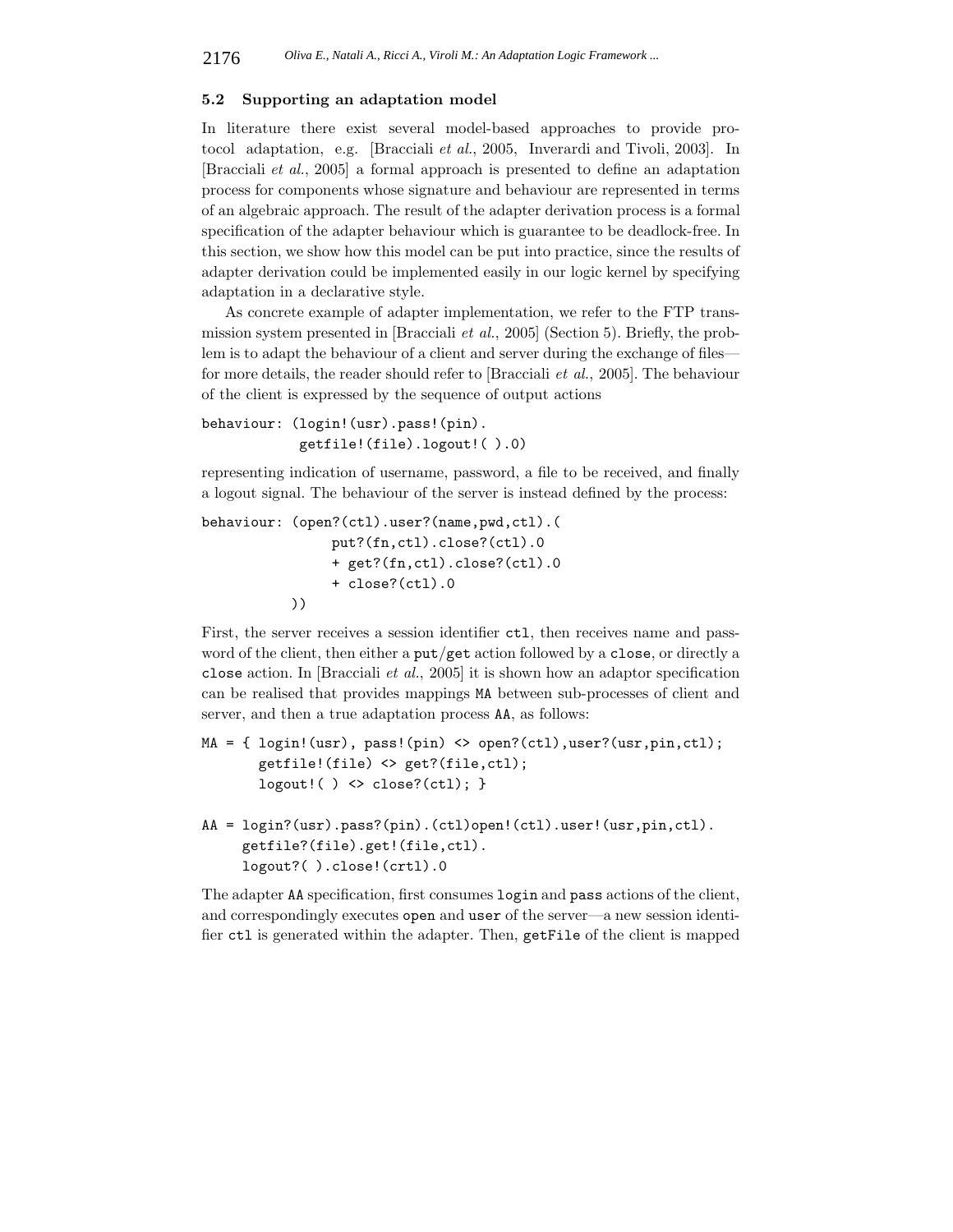# **5.2 Supporting an adaptation model**

In literature there exist several model-based approaches to provide protocol adaptation, e.g. [Bracciali *et al.*, 2005, Inverardi and Tivoli, 2003]. In [Bracciali *et al.*, 2005] a formal approach is presented to define an adaptation process for components whose signature and behaviour are represented in terms of an algebraic approach. The result of the adapter derivation process is a formal specification of the adapter behaviour which is guarantee to be deadlock-free. In this section, we show how this model can be put into practice, since the results of adapter derivation could be implemented easily in our logic kernel by specifying adaptation in a declarative style.

As concrete example of adapter implementation, we refer to the FTP transmission system presented in [Bracciali *et al.*, 2005] (Section 5). Briefly, the problem is to adapt the behaviour of a client and server during the exchange of files for more details, the reader should refer to [Bracciali *et al.*, 2005]. The behaviour of the client is expressed by the sequence of output actions

```
behaviour: (login!(usr).pass!(pin).
            getfile!(file).logout!( ).0)
```
representing indication of username, password, a file to be received, and finally a logout signal. The behaviour of the server is instead defined by the process:

```
behaviour: (open?(ctl).user?(name,pwd,ctl).(
                put?(fn,ctl).close?(ctl).0
                + get?(fn,ctl).close?(ctl).0
                + close?(ctl).0
           ))
```
First, the server receives a session identifier ctl, then receives name and password of the client, then either a put/get action followed by a close, or directly a close action. In [Bracciali *et al.*, 2005] it is shown how an adaptor specification can be realised that provides mappings MA between sub-processes of client and server, and then a true adaptation process AA, as follows:

```
MA = { login!(usr), pass!(pin) <> open?(ctl),user?(usr,pin,ctl);
       getfile!(file) <> get?(file,ctl);
       logout!() \Leftrightarrow close?(ct1);
```

```
AA = login?(usr).pass?(pin).(ctl)open!(ctl).user!(usr,pin,ctl).
     getfile?(file).get!(file,ctl).
     logout?( ).close!(crtl).0
```
The adapter AA specification, first consumes login and pass actions of the client, and correspondingly executes open and user of the server—a new session identifier ctl is generated within the adapter. Then, getFile of the client is mapped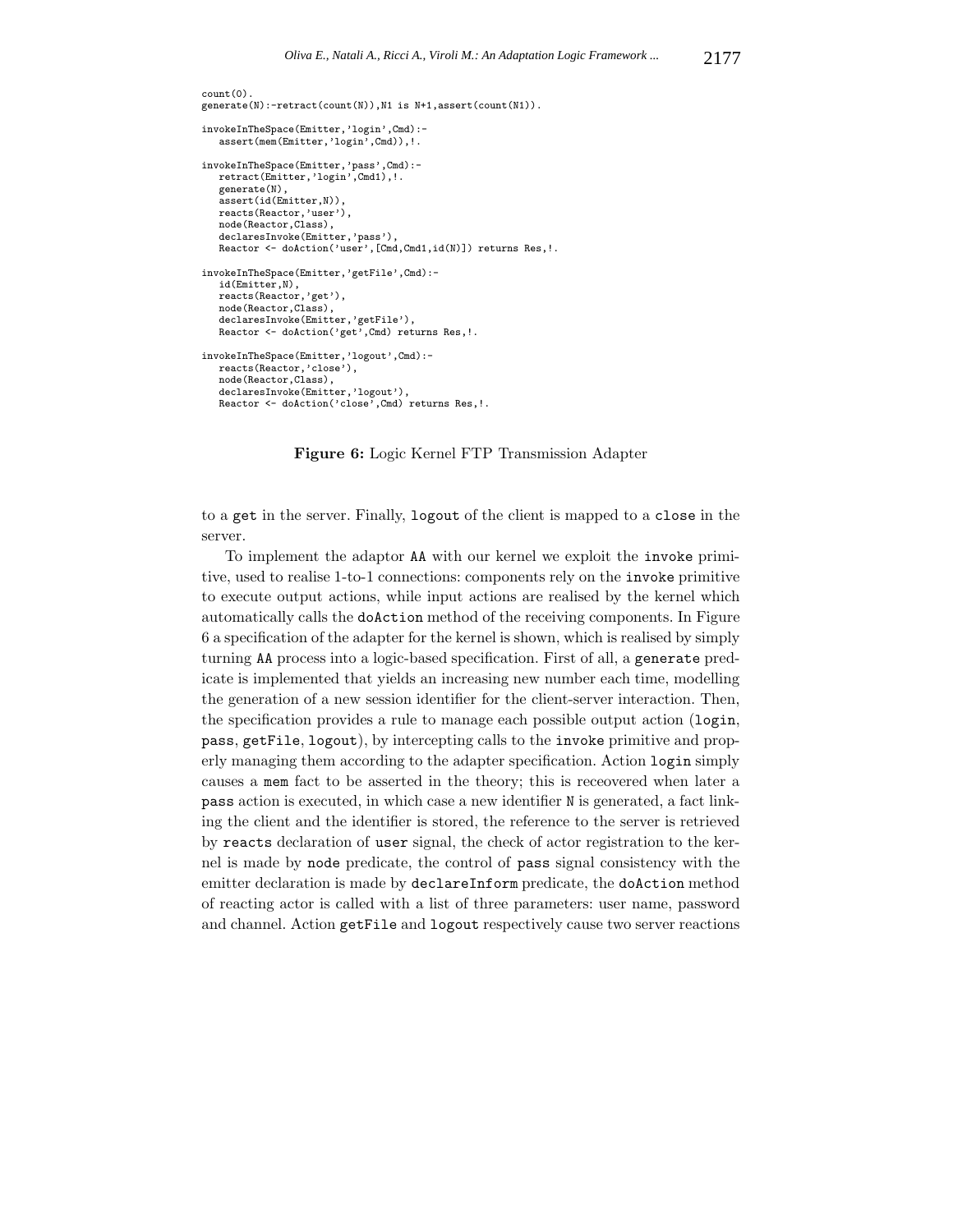```
count(0).
generate(N):-retract(count(N)),N1 is N+1,assert(count(N1)).
invokeInTheSpace(Emitter,'login',Cmd):-
   assert(mem(Emitter,'login',Cmd)),!.
invokeInTheSpace(Emitter,'pass',Cmd):-
  retract(Emitter,'login',Cmd1),!.
   generate(N),
   assert(id(Emitter,N)),
   reacts(Reactor,'user'),
   node(Reactor,Class),
   declaresInvoke(Emitter,'pass'),
   Reactor <- doAction('user',[Cmd,Cmd1,id(N)]) returns Res,!.
invokeInTheSpace(Emitter,'getFile',Cmd):-
   id(Emitter,N),
   reacts(Reactor,'get'),
   node(Reactor,Class),
   declaresInvoke(Emitter,'getFile'),
   Reactor <- doAction('get',Cmd) returns Res, !.
invokeInTheSpace(Emitter,'logout',Cmd):-
   reacts(Reactor,'close'),
   node(Reactor,Class),
   declaresInvoke(Emitter,'logout'),
   Reactor <- doAction('close',Cmd) returns Res,!.
```
# **Figure 6:** Logic Kernel FTP Transmission Adapter

to a get in the server. Finally, logout of the client is mapped to a close in the server.

To implement the adaptor AA with our kernel we exploit the invoke primitive, used to realise 1-to-1 connections: components rely on the invoke primitive to execute output actions, while input actions are realised by the kernel which automatically calls the doAction method of the receiving components. In Figure 6 a specification of the adapter for the kernel is shown, which is realised by simply turning AA process into a logic-based specification. First of all, a generate predicate is implemented that yields an increasing new number each time, modelling the generation of a new session identifier for the client-server interaction. Then, the specification provides a rule to manage each possible output action (login, pass, getFile, logout), by intercepting calls to the invoke primitive and properly managing them according to the adapter specification. Action login simply causes a mem fact to be asserted in the theory; this is receovered when later a pass action is executed, in which case a new identifier N is generated, a fact linking the client and the identifier is stored, the reference to the server is retrieved by reacts declaration of user signal, the check of actor registration to the kernel is made by node predicate, the control of pass signal consistency with the emitter declaration is made by declareInform predicate, the doAction method of reacting actor is called with a list of three parameters: user name, password and channel. Action getFile and logout respectively cause two server reactions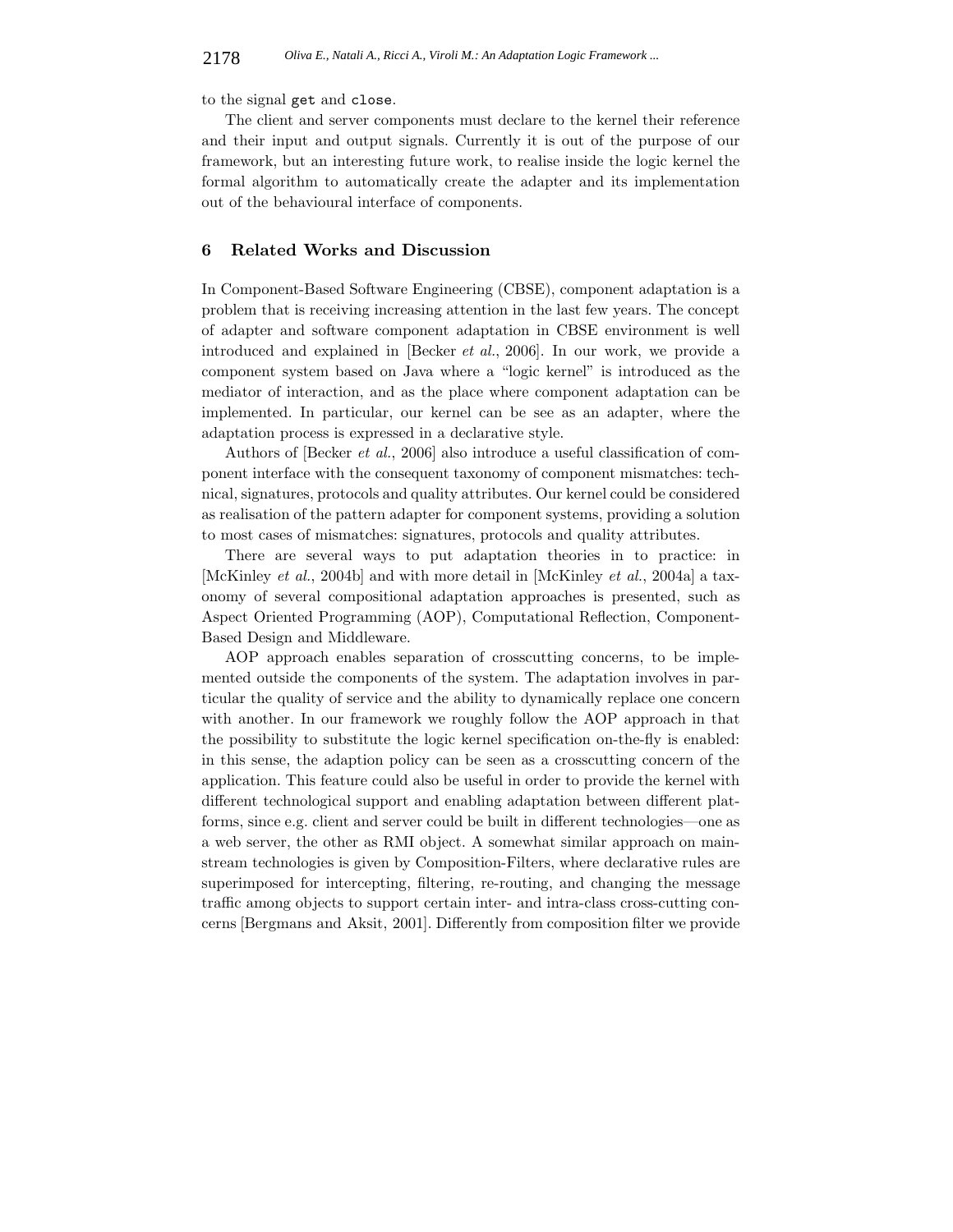to the signal get and close.

The client and server components must declare to the kernel their reference and their input and output signals. Currently it is out of the purpose of our framework, but an interesting future work, to realise inside the logic kernel the formal algorithm to automatically create the adapter and its implementation out of the behavioural interface of components.

## **6 Related Works and Discussion**

In Component-Based Software Engineering (CBSE), component adaptation is a problem that is receiving increasing attention in the last few years. The concept of adapter and software component adaptation in CBSE environment is well introduced and explained in [Becker *et al.*, 2006]. In our work, we provide a component system based on Java where a "logic kernel" is introduced as the mediator of interaction, and as the place where component adaptation can be implemented. In particular, our kernel can be see as an adapter, where the adaptation process is expressed in a declarative style.

Authors of [Becker *et al.*, 2006] also introduce a useful classification of component interface with the consequent taxonomy of component mismatches: technical, signatures, protocols and quality attributes. Our kernel could be considered as realisation of the pattern adapter for component systems, providing a solution to most cases of mismatches: signatures, protocols and quality attributes.

There are several ways to put adaptation theories in to practice: in [McKinley *et al.*, 2004b] and with more detail in [McKinley *et al.*, 2004a] a taxonomy of several compositional adaptation approaches is presented, such as Aspect Oriented Programming (AOP), Computational Reflection, Component-Based Design and Middleware.

AOP approach enables separation of crosscutting concerns, to be implemented outside the components of the system. The adaptation involves in particular the quality of service and the ability to dynamically replace one concern with another. In our framework we roughly follow the AOP approach in that the possibility to substitute the logic kernel specification on-the-fly is enabled: in this sense, the adaption policy can be seen as a crosscutting concern of the application. This feature could also be useful in order to provide the kernel with different technological support and enabling adaptation between different platforms, since e.g. client and server could be built in different technologies—one as a web server, the other as RMI object. A somewhat similar approach on mainstream technologies is given by Composition-Filters, where declarative rules are superimposed for intercepting, filtering, re-routing, and changing the message traffic among objects to support certain inter- and intra-class cross-cutting concerns [Bergmans and Aksit, 2001]. Differently from composition filter we provide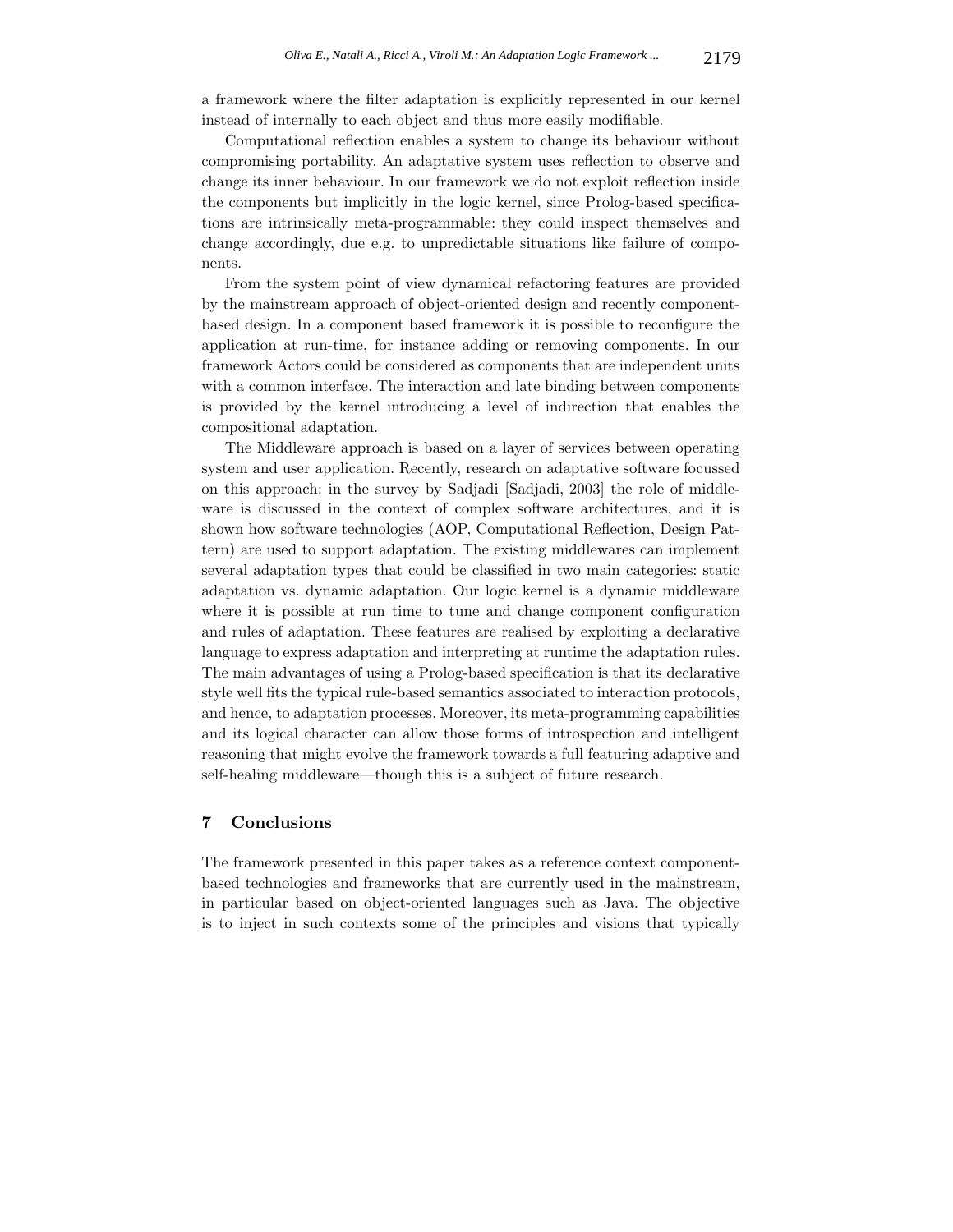a framework where the filter adaptation is explicitly represented in our kernel instead of internally to each object and thus more easily modifiable.

Computational reflection enables a system to change its behaviour without compromising portability. An adaptative system uses reflection to observe and change its inner behaviour. In our framework we do not exploit reflection inside the components but implicitly in the logic kernel, since Prolog-based specifications are intrinsically meta-programmable: they could inspect themselves and change accordingly, due e.g. to unpredictable situations like failure of components.

From the system point of view dynamical refactoring features are provided by the mainstream approach of object-oriented design and recently componentbased design. In a component based framework it is possible to reconfigure the application at run-time, for instance adding or removing components. In our framework Actors could be considered as components that are independent units with a common interface. The interaction and late binding between components is provided by the kernel introducing a level of indirection that enables the compositional adaptation.

The Middleware approach is based on a layer of services between operating system and user application. Recently, research on adaptative software focussed on this approach: in the survey by Sadjadi [Sadjadi, 2003] the role of middleware is discussed in the context of complex software architectures, and it is shown how software technologies (AOP, Computational Reflection, Design Pattern) are used to support adaptation. The existing middlewares can implement several adaptation types that could be classified in two main categories: static adaptation vs. dynamic adaptation. Our logic kernel is a dynamic middleware where it is possible at run time to tune and change component configuration and rules of adaptation. These features are realised by exploiting a declarative language to express adaptation and interpreting at runtime the adaptation rules. The main advantages of using a Prolog-based specification is that its declarative style well fits the typical rule-based semantics associated to interaction protocols, and hence, to adaptation processes. Moreover, its meta-programming capabilities and its logical character can allow those forms of introspection and intelligent reasoning that might evolve the framework towards a full featuring adaptive and self-healing middleware—though this is a subject of future research.

# **7 Conclusions**

The framework presented in this paper takes as a reference context componentbased technologies and frameworks that are currently used in the mainstream, in particular based on object-oriented languages such as Java. The objective is to inject in such contexts some of the principles and visions that typically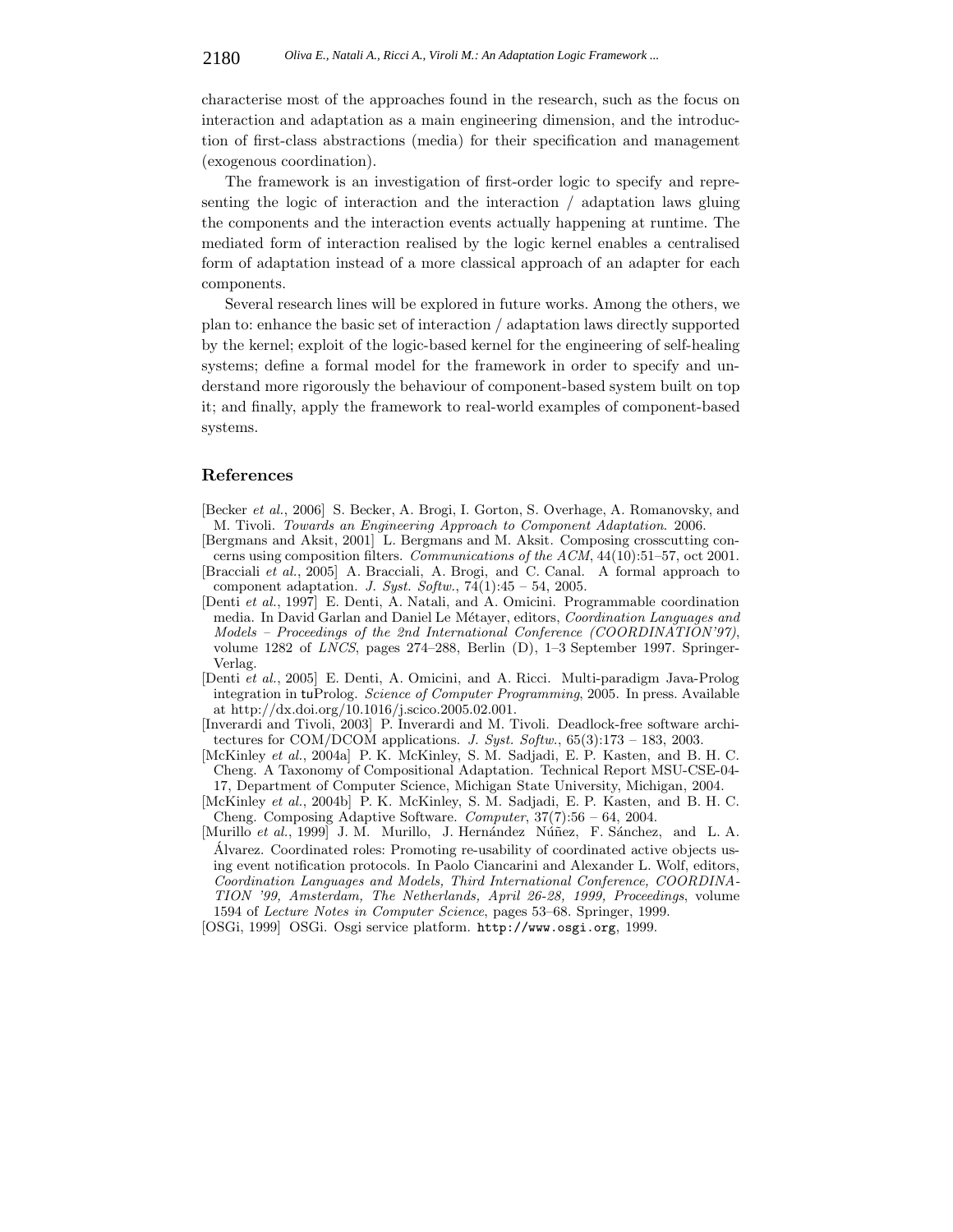characterise most of the approaches found in the research, such as the focus on interaction and adaptation as a main engineering dimension, and the introduction of first-class abstractions (media) for their specification and management (exogenous coordination).

The framework is an investigation of first-order logic to specify and representing the logic of interaction and the interaction / adaptation laws gluing the components and the interaction events actually happening at runtime. The mediated form of interaction realised by the logic kernel enables a centralised form of adaptation instead of a more classical approach of an adapter for each components.

Several research lines will be explored in future works. Among the others, we plan to: enhance the basic set of interaction / adaptation laws directly supported by the kernel; exploit of the logic-based kernel for the engineering of self-healing systems; define a formal model for the framework in order to specify and understand more rigorously the behaviour of component-based system built on top it; and finally, apply the framework to real-world examples of component-based systems.

# **References**

- [Becker *et al.*, 2006] S. Becker, A. Brogi, I. Gorton, S. Overhage, A. Romanovsky, and M. Tivoli. *Towards an Engineering Approach to Component Adaptation*. 2006.
- [Bergmans and Aksit, 2001] L. Bergmans and M. Aksit. Composing crosscutting concerns using composition filters. *Communications of the ACM*, 44(10):51–57, oct 2001.
- [Bracciali *et al.*, 2005] A. Bracciali, A. Brogi, and C. Canal. A formal approach to component adaptation. *J. Syst. Softw.*, 74(1):45 – 54, 2005.
- [Denti *et al.*, 1997] E. Denti, A. Natali, and A. Omicini. Programmable coordination media. In David Garlan and Daniel Le M´etayer, editors, *Coordination Languages and Models – Proceedings of the 2nd International Conference (COORDINATION'97)*, volume 1282 of *LNCS*, pages 274–288, Berlin (D), 1–3 September 1997. Springer-Verlag.
- [Denti *et al.*, 2005] E. Denti, A. Omicini, and A. Ricci. Multi-paradigm Java-Prolog integration in tuProlog. *Science of Computer Programming*, 2005. In press. Available at http://dx.doi.org/10.1016/j.scico.2005.02.001.
- [Inverardi and Tivoli, 2003] P. Inverardi and M. Tivoli. Deadlock-free software architectures for COM/DCOM applications. *J. Syst. Softw.*, 65(3):173 – 183, 2003.
- [McKinley *et al.*, 2004a] P. K. McKinley, S. M. Sadjadi, E. P. Kasten, and B. H. C. Cheng. A Taxonomy of Compositional Adaptation. Technical Report MSU-CSE-04- 17, Department of Computer Science, Michigan State University, Michigan, 2004.
- [McKinley *et al.*, 2004b] P. K. McKinley, S. M. Sadjadi, E. P. Kasten, and B. H. C. Cheng. Composing Adaptive Software. *Computer*, 37(7):56 – 64, 2004.
- [Murillo *et al.*, 1999] J. M. Murillo, J. Hernández Núñez, F. Sánchez, and L. A. Alvarez. Coordinated roles: Promoting re-usability of coordinated active objects us- ´ ing event notification protocols. In Paolo Ciancarini and Alexander L. Wolf, editors, *Coordination Languages and Models, Third International Conference, COORDINA-TION '99, Amsterdam, The Netherlands, April 26-28, 1999, Proceedings*, volume 1594 of *Lecture Notes in Computer Science*, pages 53–68. Springer, 1999.
- [OSGi, 1999] OSGi. Osgi service platform. http://www.osgi.org, 1999.